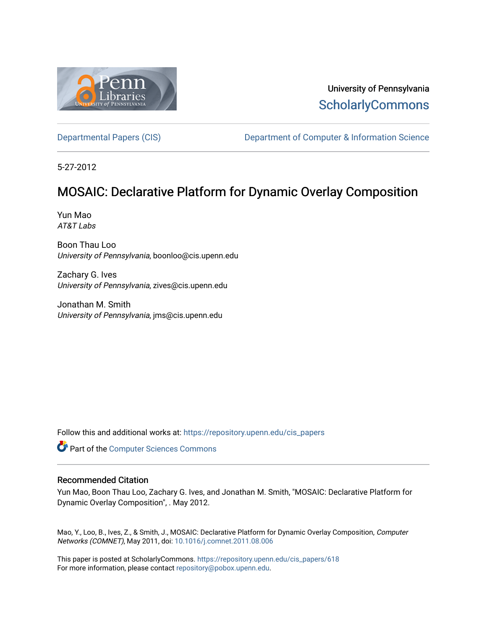

University of Pennsylvania **ScholarlyCommons** 

[Departmental Papers \(CIS\)](https://repository.upenn.edu/cis_papers) Department of Computer & Information Science

5-27-2012

# MOSAIC: Declarative Platform for Dynamic Overlay Composition

Yun Mao AT&T Labs

Boon Thau Loo University of Pennsylvania, boonloo@cis.upenn.edu

Zachary G. Ives University of Pennsylvania, zives@cis.upenn.edu

Jonathan M. Smith University of Pennsylvania, jms@cis.upenn.edu

Follow this and additional works at: [https://repository.upenn.edu/cis\\_papers](https://repository.upenn.edu/cis_papers?utm_source=repository.upenn.edu%2Fcis_papers%2F618&utm_medium=PDF&utm_campaign=PDFCoverPages)

**Part of the [Computer Sciences Commons](http://network.bepress.com/hgg/discipline/142?utm_source=repository.upenn.edu%2Fcis_papers%2F618&utm_medium=PDF&utm_campaign=PDFCoverPages)** 

# Recommended Citation

Yun Mao, Boon Thau Loo, Zachary G. Ives, and Jonathan M. Smith, "MOSAIC: Declarative Platform for Dynamic Overlay Composition", . May 2012.

Mao, Y., Loo, B., Ives, Z., & Smith, J., MOSAIC: Declarative Platform for Dynamic Overlay Composition, Computer Networks (COMNET), May 2011, doi: [10.1016/j.comnet.2011.08.006](http://dx.doi.org/10.1016/j.comnet.2011.08.006) 

This paper is posted at ScholarlyCommons. [https://repository.upenn.edu/cis\\_papers/618](https://repository.upenn.edu/cis_papers/618)  For more information, please contact [repository@pobox.upenn.edu.](mailto:repository@pobox.upenn.edu)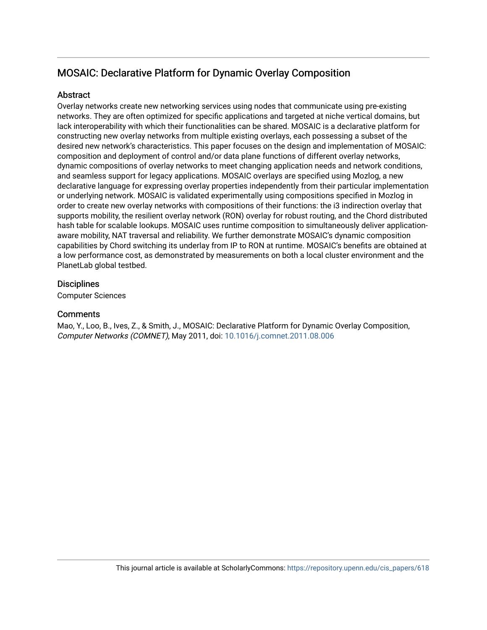# MOSAIC: Declarative Platform for Dynamic Overlay Composition

# **Abstract**

Overlay networks create new networking services using nodes that communicate using pre-existing networks. They are often optimized for specific applications and targeted at niche vertical domains, but lack interoperability with which their functionalities can be shared. MOSAIC is a declarative platform for constructing new overlay networks from multiple existing overlays, each possessing a subset of the desired new network's characteristics. This paper focuses on the design and implementation of MOSAIC: composition and deployment of control and/or data plane functions of different overlay networks, dynamic compositions of overlay networks to meet changing application needs and network conditions, and seamless support for legacy applications. MOSAIC overlays are specified using Mozlog, a new declarative language for expressing overlay properties independently from their particular implementation or underlying network. MOSAIC is validated experimentally using compositions specified in Mozlog in order to create new overlay networks with compositions of their functions: the i3 indirection overlay that supports mobility, the resilient overlay network (RON) overlay for robust routing, and the Chord distributed hash table for scalable lookups. MOSAIC uses runtime composition to simultaneously deliver applicationaware mobility, NAT traversal and reliability. We further demonstrate MOSAIC's dynamic composition capabilities by Chord switching its underlay from IP to RON at runtime. MOSAIC's benefits are obtained at a low performance cost, as demonstrated by measurements on both a local cluster environment and the PlanetLab global testbed.

# **Disciplines**

Computer Sciences

# **Comments**

Mao, Y., Loo, B., Ives, Z., & Smith, J., MOSAIC: Declarative Platform for Dynamic Overlay Composition, Computer Networks (COMNET), May 2011, doi: [10.1016/j.comnet.2011.08.006](http://dx.doi.org/10.1016/j.comnet.2011.08.006)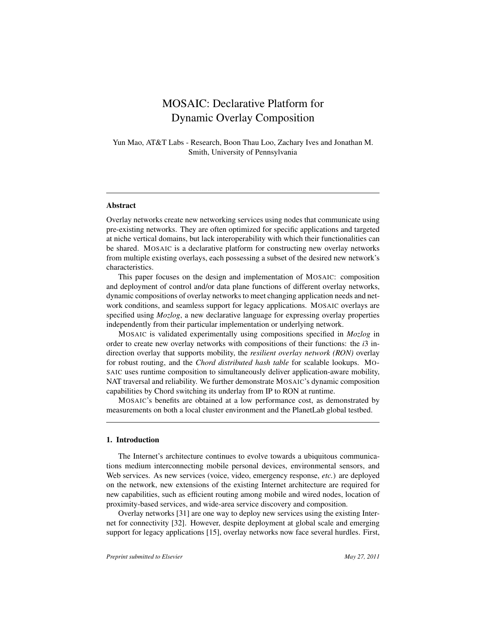# MOSAIC: Declarative Platform for Dynamic Overlay Composition

Yun Mao, AT&T Labs - Research, Boon Thau Loo, Zachary Ives and Jonathan M. Smith, University of Pennsylvania

# Abstract

Overlay networks create new networking services using nodes that communicate using pre-existing networks. They are often optimized for specific applications and targeted at niche vertical domains, but lack interoperability with which their functionalities can be shared. MOSAIC is a declarative platform for constructing new overlay networks from multiple existing overlays, each possessing a subset of the desired new network's characteristics.

This paper focuses on the design and implementation of MOSAIC: composition and deployment of control and/or data plane functions of different overlay networks, dynamic compositions of overlay networks to meet changing application needs and network conditions, and seamless support for legacy applications. MOSAIC overlays are specified using *Mozlog*, a new declarative language for expressing overlay properties independently from their particular implementation or underlying network.

MOSAIC is validated experimentally using compositions specified in *Mozlog* in order to create new overlay networks with compositions of their functions: the *i*3 indirection overlay that supports mobility, the *resilient overlay network (RON)* overlay for robust routing, and the *Chord distributed hash table* for scalable lookups. MO-SAIC uses runtime composition to simultaneously deliver application-aware mobility, NAT traversal and reliability. We further demonstrate MOSAIC's dynamic composition capabilities by Chord switching its underlay from IP to RON at runtime.

MOSAIC's benefits are obtained at a low performance cost, as demonstrated by measurements on both a local cluster environment and the PlanetLab global testbed.

# 1. Introduction

The Internet's architecture continues to evolve towards a ubiquitous communications medium interconnecting mobile personal devices, environmental sensors, and Web services. As new services (voice, video, emergency response, *etc.*) are deployed on the network, new extensions of the existing Internet architecture are required for new capabilities, such as efficient routing among mobile and wired nodes, location of proximity-based services, and wide-area service discovery and composition.

Overlay networks [31] are one way to deploy new services using the existing Internet for connectivity [32]. However, despite deployment at global scale and emerging support for legacy applications [15], overlay networks now face several hurdles. First,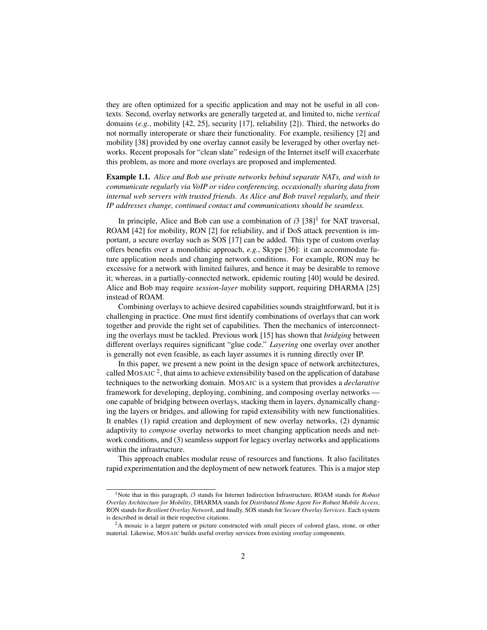they are often optimized for a specific application and may not be useful in all contexts. Second, overlay networks are generally targeted at, and limited to, niche *vertical* domains (*e.g.*, mobility [42, 25], security [17], reliability [2]). Third, the networks do not normally interoperate or share their functionality. For example, resiliency [2] and mobility [38] provided by one overlay cannot easily be leveraged by other overlay networks. Recent proposals for "clean slate" redesign of the Internet itself will exacerbate this problem, as more and more overlays are proposed and implemented.

Example 1.1. *Alice and Bob use private networks behind separate NATs, and wish to communicate regularly via VoIP or video conferencing, occasionally sharing data from internal web servers with trusted friends. As Alice and Bob travel regularly, and their IP addresses change, continued contact and communications should be seamless.*

In principle, Alice and Bob can use a combination of  $i3$  [38]<sup>1</sup> for NAT traversal, ROAM [42] for mobility, RON [2] for reliability, and if DoS attack prevention is important, a secure overlay such as SOS [17] can be added. This type of custom overlay offers benefits over a monolithic approach, *e.g.*, Skype [36]: it can accommodate future application needs and changing network conditions. For example, RON may be excessive for a network with limited failures, and hence it may be desirable to remove it; whereas, in a partially-connected network, epidemic routing [40] would be desired. Alice and Bob may require *session-layer* mobility support, requiring DHARMA [25] instead of ROAM.

Combining overlays to achieve desired capabilities sounds straightforward, but it is challenging in practice. One must first identify combinations of overlays that can work together and provide the right set of capabilities. Then the mechanics of interconnecting the overlays must be tackled. Previous work [15] has shown that *bridging* between different overlays requires significant "glue code." *Layering* one overlay over another is generally not even feasible, as each layer assumes it is running directly over IP.

In this paper, we present a new point in the design space of network architectures, called MOSAIC<sup>2</sup>, that aims to achieve extensibility based on the application of database techniques to the networking domain. MOSAIC is a system that provides a *declarative* framework for developing, deploying, combining, and composing overlay networks one capable of bridging between overlays, stacking them in layers, dynamically changing the layers or bridges, and allowing for rapid extensibility with new functionalities. It enables (1) rapid creation and deployment of new overlay networks, (2) dynamic adaptivity to *compose* overlay networks to meet changing application needs and network conditions, and (3) seamless support for legacy overlay networks and applications within the infrastructure.

This approach enables modular reuse of resources and functions. It also facilitates rapid experimentation and the deployment of new network features. This is a major step

<sup>1</sup>Note that in this paragraph, *i*3 stands for Internet Indirection Infrastructure, ROAM stands for *Robust Overlay Architecture for Mobility*, DHARMA stands for *Distributed Home Agent For Robust Mobile Access*, RON stands for *Resilient Overlay Network*, and finally, SOS stands for *Secure Overlay Services*. Each system is described in detail in their respective citations.

 ${}^{2}$ A mosaic is a larger pattern or picture constructed with small pieces of colored glass, stone, or other material. Likewise, MOSAIC builds useful overlay services from existing overlay components.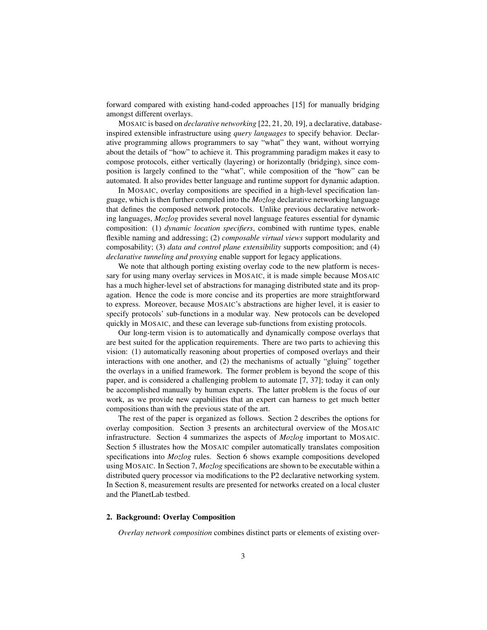forward compared with existing hand-coded approaches [15] for manually bridging amongst different overlays.

MOSAIC is based on *declarative networking* [22, 21, 20, 19], a declarative, databaseinspired extensible infrastructure using *query languages* to specify behavior. Declarative programming allows programmers to say "what" they want, without worrying about the details of "how" to achieve it. This programming paradigm makes it easy to compose protocols, either vertically (layering) or horizontally (bridging), since composition is largely confined to the "what", while composition of the "how" can be automated. It also provides better language and runtime support for dynamic adaption.

In MOSAIC, overlay compositions are specified in a high-level specification language, which is then further compiled into the *Mozlog* declarative networking language that defines the composed network protocols. Unlike previous declarative networking languages, *Mozlog* provides several novel language features essential for dynamic composition: (1) *dynamic location specifiers*, combined with runtime types, enable flexible naming and addressing; (2) *composable virtual views* support modularity and composability; (3) *data and control plane extensibility* supports composition; and (4) *declarative tunneling and proxying* enable support for legacy applications.

We note that although porting existing overlay code to the new platform is necessary for using many overlay services in MOSAIC, it is made simple because MOSAIC has a much higher-level set of abstractions for managing distributed state and its propagation. Hence the code is more concise and its properties are more straightforward to express. Moreover, because MOSAIC's abstractions are higher level, it is easier to specify protocols' sub-functions in a modular way. New protocols can be developed quickly in MOSAIC, and these can leverage sub-functions from existing protocols.

Our long-term vision is to automatically and dynamically compose overlays that are best suited for the application requirements. There are two parts to achieving this vision: (1) automatically reasoning about properties of composed overlays and their interactions with one another, and (2) the mechanisms of actually "gluing" together the overlays in a unified framework. The former problem is beyond the scope of this paper, and is considered a challenging problem to automate [7, 37]; today it can only be accomplished manually by human experts. The latter problem is the focus of our work, as we provide new capabilities that an expert can harness to get much better compositions than with the previous state of the art.

The rest of the paper is organized as follows. Section 2 describes the options for overlay composition. Section 3 presents an architectural overview of the MOSAIC infrastructure. Section 4 summarizes the aspects of *Mozlog* important to MOSAIC. Section 5 illustrates how the MOSAIC compiler automatically translates composition specifications into *Mozlog* rules. Section 6 shows example compositions developed using MOSAIC. In Section 7, *Mozlog* specifications are shown to be executable within a distributed query processor via modifications to the P2 declarative networking system. In Section 8, measurement results are presented for networks created on a local cluster and the PlanetLab testbed.

# 2. Background: Overlay Composition

*Overlay network composition* combines distinct parts or elements of existing over-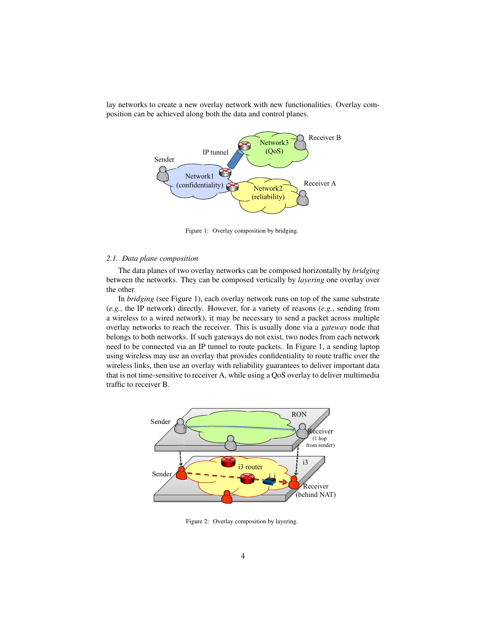



Figure 1: Overlay composition by bridging.

# *2.1. Data plane composition*

The data planes of two overlay networks can be composed horizontally by *bridging* between the networks. They can be composed vertically by *layering* one overlay over the other.

In *bridging* (see Figure 1), each overlay network runs on top of the same substrate (*e.g.*, the IP network) directly. However, for a variety of reasons (*e.g.*, sending from a wireless to a wired network), it may be necessary to send a packet across multiple overlay networks to reach the receiver. This is usually done via a *gateway* node that belongs to both networks. If such gateways do not exist, two nodes from each network need to be connected via an IP tunnel to route packets. In Figure 1, a sending laptop using wireless may use an overlay that provides confidentiality to route traffic over the wireless links, then use an overlay with reliability guarantees to deliver important data that is not time-sensitive to receiver A, while using a QoS overlay to deliver multimedia traffic to receiver B.



Figure 2: Overlay composition by layering.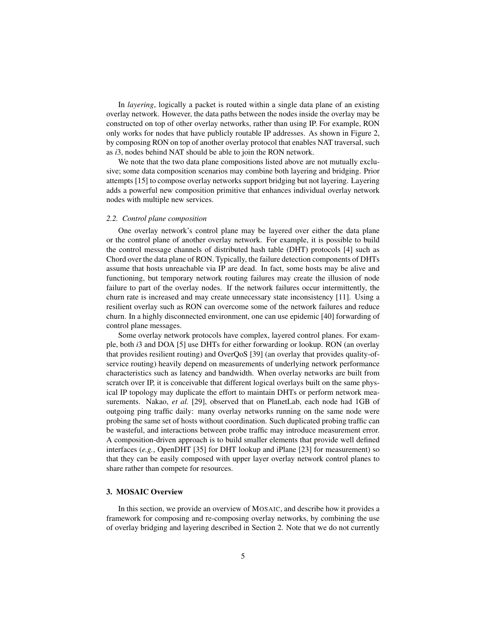In *layering*, logically a packet is routed within a single data plane of an existing overlay network. However, the data paths between the nodes inside the overlay may be constructed on top of other overlay networks, rather than using IP. For example, RON only works for nodes that have publicly routable IP addresses. As shown in Figure 2, by composing RON on top of another overlay protocol that enables NAT traversal, such as *i*3, nodes behind NAT should be able to join the RON network.

We note that the two data plane compositions listed above are not mutually exclusive; some data composition scenarios may combine both layering and bridging. Prior attempts [15] to compose overlay networks support bridging but not layering. Layering adds a powerful new composition primitive that enhances individual overlay network nodes with multiple new services.

# *2.2. Control plane composition*

One overlay network's control plane may be layered over either the data plane or the control plane of another overlay network. For example, it is possible to build the control message channels of distributed hash table (DHT) protocols [4] such as Chord over the data plane of RON. Typically, the failure detection components of DHTs assume that hosts unreachable via IP are dead. In fact, some hosts may be alive and functioning, but temporary network routing failures may create the illusion of node failure to part of the overlay nodes. If the network failures occur intermittently, the churn rate is increased and may create unnecessary state inconsistency [11]. Using a resilient overlay such as RON can overcome some of the network failures and reduce churn. In a highly disconnected environment, one can use epidemic [40] forwarding of control plane messages.

Some overlay network protocols have complex, layered control planes. For example, both *i*3 and DOA [5] use DHTs for either forwarding or lookup. RON (an overlay that provides resilient routing) and OverQoS [39] (an overlay that provides quality-ofservice routing) heavily depend on measurements of underlying network performance characteristics such as latency and bandwidth. When overlay networks are built from scratch over IP, it is conceivable that different logical overlays built on the same physical IP topology may duplicate the effort to maintain DHTs or perform network measurements. Nakao, *et al.* [29], observed that on PlanetLab, each node had 1GB of outgoing ping traffic daily: many overlay networks running on the same node were probing the same set of hosts without coordination. Such duplicated probing traffic can be wasteful, and interactions between probe traffic may introduce measurement error. A composition-driven approach is to build smaller elements that provide well defined interfaces  $(e.g.,$  OpenDHT [35] for DHT lookup and iPlane [23] for measurement) so that they can be easily composed with upper layer overlay network control planes to share rather than compete for resources.

# 3. MOSAIC Overview

In this section, we provide an overview of MOSAIC, and describe how it provides a framework for composing and re-composing overlay networks, by combining the use of overlay bridging and layering described in Section 2. Note that we do not currently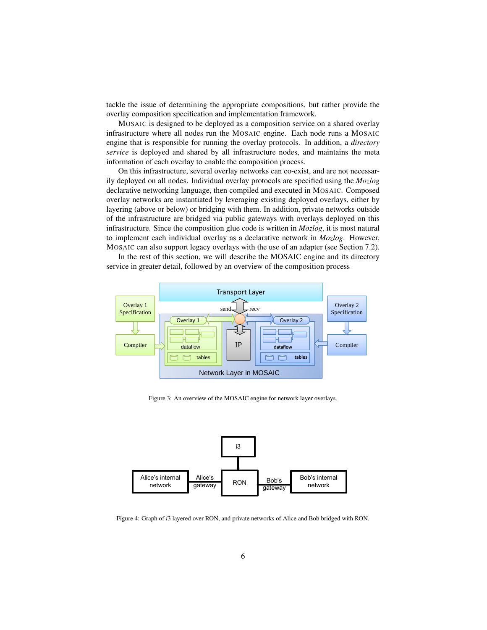tackle the issue of determining the appropriate compositions, but rather provide the overlay composition specification and implementation framework.

MOSAIC is designed to be deployed as a composition service on a shared overlay infrastructure where all nodes run the MOSAIC engine. Each node runs a MOSAIC engine that is responsible for running the overlay protocols. In addition, a *directory service* is deployed and shared by all infrastructure nodes, and maintains the meta information of each overlay to enable the composition process.

On this infrastructure, several overlay networks can co-exist, and are not necessarily deployed on all nodes. Individual overlay protocols are specified using the *Mozlog* declarative networking language, then compiled and executed in MOSAIC. Composed overlay networks are instantiated by leveraging existing deployed overlays, either by layering (above or below) or bridging with them. In addition, private networks outside of the infrastructure are bridged via public gateways with overlays deployed on this infrastructure. Since the composition glue code is written in *Mozlog*, it is most natural to implement each individual overlay as a declarative network in *Mozlog*. However, MOSAIC can also support legacy overlays with the use of an adapter (see Section 7.2).

In the rest of this section, we will describe the MOSAIC engine and its directory service in greater detail, followed by an overview of the composition process



Figure 3: An overview of the MOSAIC engine for network layer overlays.



Figure 4: Graph of *i*3 layered over RON, and private networks of Alice and Bob bridged with RON.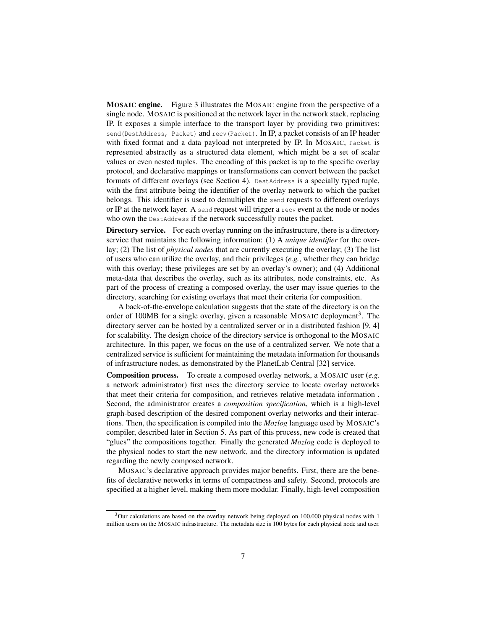MOSAIC engine. Figure 3 illustrates the MOSAIC engine from the perspective of a single node. MOSAIC is positioned at the network layer in the network stack, replacing IP. It exposes a simple interface to the transport layer by providing two primitives: send(DestAddress, Packet) and recv(Packet). In IP, a packet consists of an IP header with fixed format and a data payload not interpreted by IP. In MOSAIC, Packet is represented abstractly as a structured data element, which might be a set of scalar values or even nested tuples. The encoding of this packet is up to the specific overlay protocol, and declarative mappings or transformations can convert between the packet formats of different overlays (see Section 4). DestAddress is a specially typed tuple, with the first attribute being the identifier of the overlay network to which the packet belongs. This identifier is used to demultiplex the send requests to different overlays or IP at the network layer. A send request will trigger a recv event at the node or nodes who own the DestAddress if the network successfully routes the packet.

Directory service. For each overlay running on the infrastructure, there is a directory service that maintains the following information: (1) A *unique identifier* for the overlay; (2) The list of *physical nodes* that are currently executing the overlay; (3) The list of users who can utilize the overlay, and their privileges (*e.g.*, whether they can bridge with this overlay; these privileges are set by an overlay's owner); and (4) Additional meta-data that describes the overlay, such as its attributes, node constraints, etc. As part of the process of creating a composed overlay, the user may issue queries to the directory, searching for existing overlays that meet their criteria for composition.

A back-of-the-envelope calculation suggests that the state of the directory is on the order of 100MB for a single overlay, given a reasonable MOSAIC deployment<sup>3</sup>. The directory server can be hosted by a centralized server or in a distributed fashion [9, 4] for scalability. The design choice of the directory service is orthogonal to the MOSAIC architecture. In this paper, we focus on the use of a centralized server. We note that a centralized service is sufficient for maintaining the metadata information for thousands of infrastructure nodes, as demonstrated by the PlanetLab Central [32] service.

Composition process. To create a composed overlay network, a MOSAIC user (*e.g.* a network administrator) first uses the directory service to locate overlay networks that meet their criteria for composition, and retrieves relative metadata information . Second, the administrator creates a *composition specification*, which is a high-level graph-based description of the desired component overlay networks and their interactions. Then, the specification is compiled into the *Mozlog* language used by MOSAIC's compiler, described later in Section 5. As part of this process, new code is created that "glues" the compositions together. Finally the generated *Mozlog* code is deployed to the physical nodes to start the new network, and the directory information is updated regarding the newly composed network.

MOSAIC's declarative approach provides major benefits. First, there are the benefits of declarative networks in terms of compactness and safety. Second, protocols are specified at a higher level, making them more modular. Finally, high-level composition

<sup>&</sup>lt;sup>3</sup>Our calculations are based on the overlay network being deployed on 100,000 physical nodes with 1 million users on the MOSAIC infrastructure. The metadata size is 100 bytes for each physical node and user.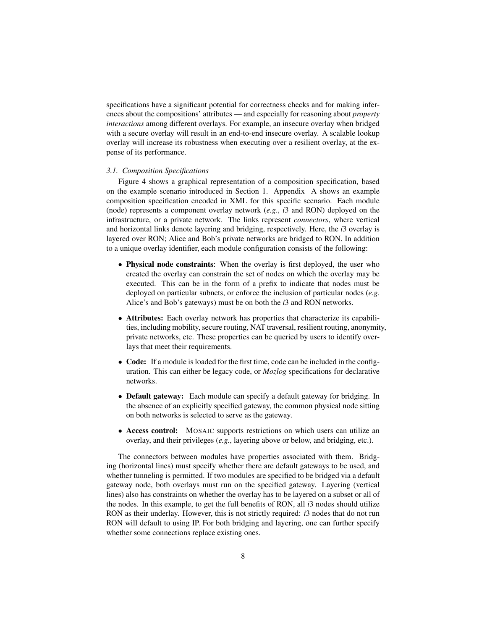specifications have a significant potential for correctness checks and for making inferences about the compositions' attributes — and especially for reasoning about *property interactions* among different overlays. For example, an insecure overlay when bridged with a secure overlay will result in an end-to-end insecure overlay. A scalable lookup overlay will increase its robustness when executing over a resilient overlay, at the expense of its performance.

# *3.1. Composition Specifications*

Figure 4 shows a graphical representation of a composition specification, based on the example scenario introduced in Section 1. Appendix A shows an example composition specification encoded in XML for this specific scenario. Each module (node) represents a component overlay network (*e.g.*, *i*3 and RON) deployed on the infrastructure, or a private network. The links represent *connectors*, where vertical and horizontal links denote layering and bridging, respectively. Here, the *i*3 overlay is layered over RON; Alice and Bob's private networks are bridged to RON. In addition to a unique overlay identifier, each module configuration consists of the following:

- Physical node constraints: When the overlay is first deployed, the user who created the overlay can constrain the set of nodes on which the overlay may be executed. This can be in the form of a prefix to indicate that nodes must be deployed on particular subnets, or enforce the inclusion of particular nodes (*e.g.* Alice's and Bob's gateways) must be on both the *i*3 and RON networks.
- Attributes: Each overlay network has properties that characterize its capabilities, including mobility, secure routing, NAT traversal, resilient routing, anonymity, private networks, etc. These properties can be queried by users to identify overlays that meet their requirements.
- Code: If a module is loaded for the first time, code can be included in the configuration. This can either be legacy code, or *Mozlog* specifications for declarative networks.
- Default gateway: Each module can specify a default gateway for bridging. In the absence of an explicitly specified gateway, the common physical node sitting on both networks is selected to serve as the gateway.
- Access control: MOSAIC supports restrictions on which users can utilize an overlay, and their privileges (*e.g.*, layering above or below, and bridging, etc.).

The connectors between modules have properties associated with them. Bridging (horizontal lines) must specify whether there are default gateways to be used, and whether tunneling is permitted. If two modules are specified to be bridged via a default gateway node, both overlays must run on the specified gateway. Layering (vertical lines) also has constraints on whether the overlay has to be layered on a subset or all of the nodes. In this example, to get the full benefits of RON, all *i*3 nodes should utilize RON as their underlay. However, this is not strictly required: *i*3 nodes that do not run RON will default to using IP. For both bridging and layering, one can further specify whether some connections replace existing ones.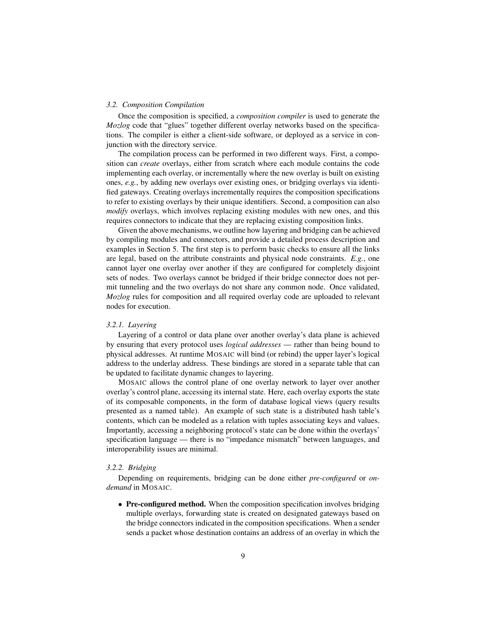# *3.2. Composition Compilation*

Once the composition is specified, a *composition compiler* is used to generate the *Mozlog* code that "glues" together different overlay networks based on the specifications. The compiler is either a client-side software, or deployed as a service in conjunction with the directory service.

The compilation process can be performed in two different ways. First, a composition can *create* overlays, either from scratch where each module contains the code implementing each overlay, or incrementally where the new overlay is built on existing ones, *e.g.*, by adding new overlays over existing ones, or bridging overlays via identified gateways. Creating overlays incrementally requires the composition specifications to refer to existing overlays by their unique identifiers. Second, a composition can also *modify* overlays, which involves replacing existing modules with new ones, and this requires connectors to indicate that they are replacing existing composition links.

Given the above mechanisms, we outline how layering and bridging can be achieved by compiling modules and connectors, and provide a detailed process description and examples in Section 5. The first step is to perform basic checks to ensure all the links are legal, based on the attribute constraints and physical node constraints. *E.g.*, one cannot layer one overlay over another if they are configured for completely disjoint sets of nodes. Two overlays cannot be bridged if their bridge connector does not permit tunneling and the two overlays do not share any common node. Once validated, *Mozlog* rules for composition and all required overlay code are uploaded to relevant nodes for execution.

# *3.2.1. Layering*

Layering of a control or data plane over another overlay's data plane is achieved by ensuring that every protocol uses *logical addresses* — rather than being bound to physical addresses. At runtime MOSAIC will bind (or rebind) the upper layer's logical address to the underlay address. These bindings are stored in a separate table that can be updated to facilitate dynamic changes to layering.

MOSAIC allows the control plane of one overlay network to layer over another overlay's control plane, accessing its internal state. Here, each overlay exports the state of its composable components, in the form of database logical views (query results presented as a named table). An example of such state is a distributed hash table's contents, which can be modeled as a relation with tuples associating keys and values. Importantly, accessing a neighboring protocol's state can be done within the overlays' specification language — there is no "impedance mismatch" between languages, and interoperability issues are minimal.

#### *3.2.2. Bridging*

Depending on requirements, bridging can be done either *pre-configured* or *ondemand* in MOSAIC.

• Pre-configured method. When the composition specification involves bridging multiple overlays, forwarding state is created on designated gateways based on the bridge connectors indicated in the composition specifications. When a sender sends a packet whose destination contains an address of an overlay in which the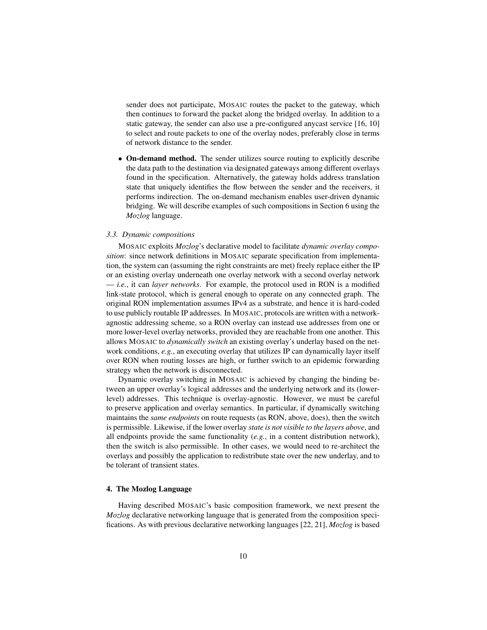sender does not participate, MOSAIC routes the packet to the gateway, which then continues to forward the packet along the bridged overlay. In addition to a static gateway, the sender can also use a pre-configured anycast service [16, 10] to select and route packets to one of the overlay nodes, preferably close in terms of network distance to the sender.

• On-demand method. The sender utilizes source routing to explicitly describe the data path to the destination via designated gateways among different overlays found in the specification. Alternatively, the gateway holds address translation state that uniquely identifies the flow between the sender and the receivers, it performs indirection. The on-demand mechanism enables user-driven dynamic bridging. We will describe examples of such compositions in Section 6 using the *Mozlog* language.

# *3.3. Dynamic compositions*

MOSAIC exploits *Mozlog*'s declarative model to facilitate *dynamic overlay composition*: since network definitions in MOSAIC separate specification from implementation, the system can (assuming the right constraints are met) freely replace either the IP or an existing overlay underneath one overlay network with a second overlay network — *i.e.*, it can *layer networks*. For example, the protocol used in RON is a modified link-state protocol, which is general enough to operate on any connected graph. The original RON implementation assumes IPv4 as a substrate, and hence it is hard-coded to use publicly routable IP addresses. In MOSAIC, protocols are written with a networkagnostic addressing scheme, so a RON overlay can instead use addresses from one or more lower-level overlay networks, provided they are reachable from one another. This allows MOSAIC to *dynamically switch* an existing overlay's underlay based on the network conditions, *e.g.*, an executing overlay that utilizes IP can dynamically layer itself over RON when routing losses are high, or further switch to an epidemic forwarding strategy when the network is disconnected.

Dynamic overlay switching in MOSAIC is achieved by changing the binding between an upper overlay's logical addresses and the underlying network and its (lowerlevel) addresses. This technique is overlay-agnostic. However, we must be careful to preserve application and overlay semantics. In particular, if dynamically switching maintains the *same endpoints* on route requests (as RON, above, does), then the switch is permissible. Likewise, if the lower overlay *state is not visible to the layers above*, and all endpoints provide the same functionality (*e.g.*, in a content distribution network), then the switch is also permissible. In other cases, we would need to re-architect the overlays and possibly the application to redistribute state over the new underlay, and to be tolerant of transient states.

# 4. The Mozlog Language

Having described MOSAIC's basic composition framework, we next present the *Mozlog* declarative networking language that is generated from the composition specifications. As with previous declarative networking languages [22, 21], *Mozlog* is based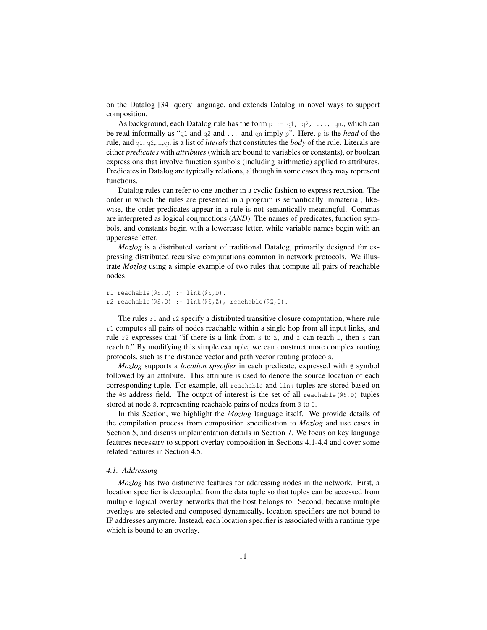on the Datalog [34] query language, and extends Datalog in novel ways to support composition.

As background, each Datalog rule has the form  $p : -q1, q2, \ldots, qn$ , which can be read informally as "q1 and q2 and ... and qn imply p". Here, p is the *head* of the rule, and q1, q2,...,qn is a list of *literals* that constitutes the *body* of the rule. Literals are either *predicates* with *attributes* (which are bound to variables or constants), or boolean expressions that involve function symbols (including arithmetic) applied to attributes. Predicates in Datalog are typically relations, although in some cases they may represent functions.

Datalog rules can refer to one another in a cyclic fashion to express recursion. The order in which the rules are presented in a program is semantically immaterial; likewise, the order predicates appear in a rule is not semantically meaningful. Commas are interpreted as logical conjunctions (*AND*). The names of predicates, function symbols, and constants begin with a lowercase letter, while variable names begin with an uppercase letter.

*Mozlog* is a distributed variant of traditional Datalog, primarily designed for expressing distributed recursive computations common in network protocols. We illustrate *Mozlog* using a simple example of two rules that compute all pairs of reachable nodes:

```
r1 reachable(@S,D) :- link(@S,D).
r2 reachable(@S,D) :- link(@S,Z), reachable(@Z,D).
```
The rules  $r1$  and  $r2$  specify a distributed transitive closure computation, where rule r1 computes all pairs of nodes reachable within a single hop from all input links, and rule  $r^2$  expresses that "if there is a link from s to z, and z can reach D, then s can reach D." By modifying this simple example, we can construct more complex routing protocols, such as the distance vector and path vector routing protocols.

*Mozlog* supports a *location specifier* in each predicate, expressed with @ symbol followed by an attribute. This attribute is used to denote the source location of each corresponding tuple. For example, all reachable and link tuples are stored based on the  $\circ$ s address field. The output of interest is the set of all reachable $(\circ$ s, D) tuples stored at node s, representing reachable pairs of nodes from s to  $\nu$ .

In this Section, we highlight the *Mozlog* language itself. We provide details of the compilation process from composition specification to *Mozlog* and use cases in Section 5, and discuss implementation details in Section 7. We focus on key language features necessary to support overlay composition in Sections 4.1-4.4 and cover some related features in Section 4.5.

#### *4.1. Addressing*

*Mozlog* has two distinctive features for addressing nodes in the network. First, a location specifier is decoupled from the data tuple so that tuples can be accessed from multiple logical overlay networks that the host belongs to. Second, because multiple overlays are selected and composed dynamically, location specifiers are not bound to IP addresses anymore. Instead, each location specifier is associated with a runtime type which is bound to an overlay.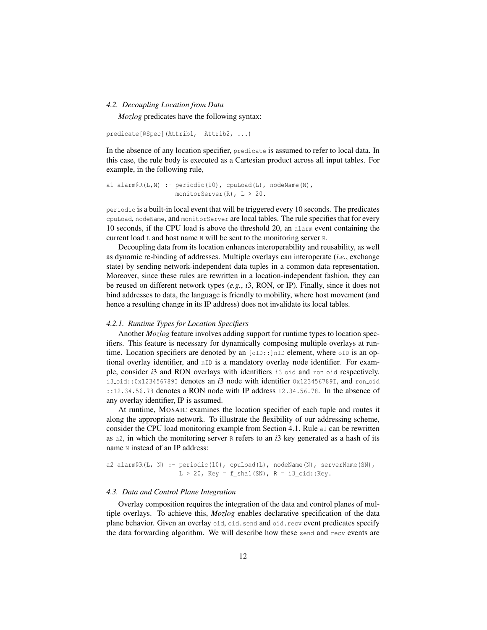# *4.2. Decoupling Location from Data*

*Mozlog* predicates have the following syntax:

predicate[@Spec](Attrib1, Attrib2, ...)

In the absence of any location specifier, predicate is assumed to refer to local data. In this case, the rule body is executed as a Cartesian product across all input tables. For example, in the following rule,

al alarm $(\mathbb{R}(L, N) :=$  periodic(10), cpuLoad(L), nodeName(N), monitorServer(R), L > 20.

periodic is a built-in local event that will be triggered every 10 seconds. The predicates cpuLoad, nodeName, and monitorServer are local tables. The rule specifies that for every 10 seconds, if the CPU load is above the threshold 20, an alarm event containing the current load  $L$  and host name N will be sent to the monitoring server R.

Decoupling data from its location enhances interoperability and reusability, as well as dynamic re-binding of addresses. Multiple overlays can interoperate (*i.e.*, exchange state) by sending network-independent data tuples in a common data representation. Moreover, since these rules are rewritten in a location-independent fashion, they can be reused on different network types (*e.g.*, *i*3, RON, or IP). Finally, since it does not bind addresses to data, the language is friendly to mobility, where host movement (and hence a resulting change in its IP address) does not invalidate its local tables.

# *4.2.1. Runtime Types for Location Specifiers*

Another *Mozlog* feature involves adding support for runtime types to location specifiers. This feature is necessary for dynamically composing multiple overlays at runtime. Location specifiers are denoted by an  $[OID::]nID$  element, where  $OID$  is an optional overlay identifier, and nID is a mandatory overlay node identifier. For example, consider *i*3 and RON overlays with identifiers i3 oid and ron oid respectively. i3 oid::0x123456789I denotes an *i*3 node with identifier 0x123456789I, and ron oid ::12.34.56.78 denotes a RON node with IP address 12.34.56.78. In the absence of any overlay identifier, IP is assumed.

At runtime, MOSAIC examines the location specifier of each tuple and routes it along the appropriate network. To illustrate the flexibility of our addressing scheme, consider the CPU load monitoring example from Section 4.1. Rule a1 can be rewritten as  $a2$ , in which the monitoring server R refers to an *i*3 key generated as a hash of its name N instead of an IP address:

a2 alarm@R(L, N) :- periodic(10), cpuLoad(L), nodeName(N), serverName(SN),  $L > 20$ , Key = f\_shal(SN), R = i3\_oid::Key.

# *4.3. Data and Control Plane Integration*

Overlay composition requires the integration of the data and control planes of multiple overlays. To achieve this, *Mozlog* enables declarative specification of the data plane behavior. Given an overlay oid, oid.send and oid.recv event predicates specify the data forwarding algorithm. We will describe how these send and recv events are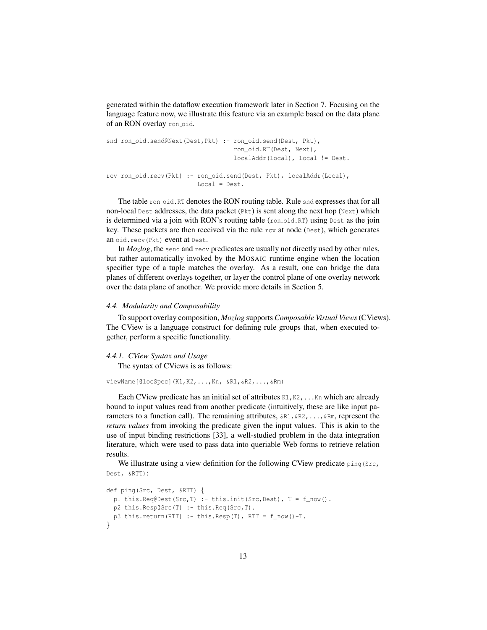generated within the dataflow execution framework later in Section 7. Focusing on the language feature now, we illustrate this feature via an example based on the data plane of an RON overlay ron\_oid.

```
snd ron_oid.send@Next(Dest, Pkt) :- ron_oid.send(Dest, Pkt),
                                   ron_oid.RT(Dest, Next),
                                   localAddr(Local), Local != Dest.
rcv ron_oid.recv(Pkt) :- ron_oid.send(Dest, Pkt), localAddr(Local),
                         Local = Dest.
```
The table ron\_oid.RT denotes the RON routing table. Rule snd expresses that for all non-local Dest addresses, the data packet (Pkt) is sent along the next hop (Next) which is determined via a join with RON's routing table (ron oid.RT) using Dest as the join key. These packets are then received via the rule rcv at node (Dest), which generates an oid.recv(Pkt) event at Dest.

In *Mozlog*, the send and recv predicates are usually not directly used by other rules, but rather automatically invoked by the MOSAIC runtime engine when the location specifier type of a tuple matches the overlay. As a result, one can bridge the data planes of different overlays together, or layer the control plane of one overlay network over the data plane of another. We provide more details in Section 5.

#### *4.4. Modularity and Composability*

To support overlay composition, *Mozlog* supports *Composable Virtual Views*(CViews). The CView is a language construct for defining rule groups that, when executed together, perform a specific functionality.

#### *4.4.1. CView Syntax and Usage*

The syntax of CViews is as follows:

viewName[@locSpec](K1,K2,...,Kn, &R1,&R2,...,&Rm)

Each CView predicate has an initial set of attributes  $K1, K2, \ldots Kn$  which are already bound to input values read from another predicate (intuitively, these are like input parameters to a function call). The remaining attributes,  $\&R1, \&R2, \ldots$ ,  $\&Rm$ , represent the *return values* from invoking the predicate given the input values. This is akin to the use of input binding restrictions [33], a well-studied problem in the data integration literature, which were used to pass data into queriable Web forms to retrieve relation results.

We illustrate using a view definition for the following CView predicate ping (Src, Dest, &RTT):

```
def ping(Src, Dest, &RTT) {
  p1 this.Req@Dest(Src,T) :- this.init(Src,Dest), T = f_now().
 p2 this.Resp@Src(T) :- this.Req(Src,T).
 p3 this.return(RTT) :- this.Resp(T), RTT = f_{now}()-T.
}
```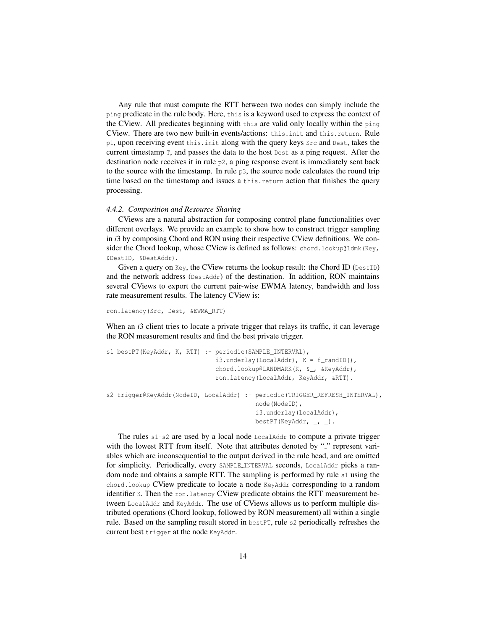Any rule that must compute the RTT between two nodes can simply include the ping predicate in the rule body. Here, this is a keyword used to express the context of the CView. All predicates beginning with this are valid only locally within the ping CView. There are two new built-in events/actions: this.init and this.return. Rule p1, upon receiving event this.init along with the query keys Src and Dest, takes the current timestamp T, and passes the data to the host Dest as a ping request. After the destination node receives it in rule p2, a ping response event is immediately sent back to the source with the timestamp. In rule  $p3$ , the source node calculates the round trip time based on the timestamp and issues a this.return action that finishes the query processing.

# *4.4.2. Composition and Resource Sharing*

CViews are a natural abstraction for composing control plane functionalities over different overlays. We provide an example to show how to construct trigger sampling in *i*3 by composing Chord and RON using their respective CView definitions. We consider the Chord lookup, whose CView is defined as follows: chord.lookup@Ldmk(Key, &DestID, &DestAddr).

Given a query on  $Key$ , the CView returns the lookup result: the Chord ID ( $DestID$ ) and the network address (DestAddr) of the destination. In addition, RON maintains several CViews to export the current pair-wise EWMA latency, bandwidth and loss rate measurement results. The latency CView is:

ron.latency(Src, Dest, &EWMA\_RTT)

When an *i*3 client tries to locate a private trigger that relays its traffic, it can leverage the RON measurement results and find the best private trigger.

```
s1 bestPT(KeyAddr, K, RTT) :- periodic(SAMPLE_INTERVAL),
                              i3.underlay(LocalAddr), K = f_{randID}(),
                              chord.lookup@LANDMARK(K, &_, &KeyAddr),
                              ron.latency(LocalAddr, KeyAddr, &RTT).
s2 trigger@KeyAddr(NodeID, LocalAddr) :- periodic(TRIGGER_REFRESH_INTERVAL),
                                         node(NodeID),
                                         i3.underlay(LocalAddr),
                                         bestPT(KeyAddr, _, _).
```
The rules s1-s2 are used by a local node LocalAddr to compute a private trigger with the lowest RTT from itself. Note that attributes denoted by "." represent variables which are inconsequential to the output derived in the rule head, and are omitted for simplicity. Periodically, every SAMPLE INTERVAL seconds, LocalAddr picks a random node and obtains a sample RTT. The sampling is performed by rule s1 using the chord.lookup CView predicate to locate a node KeyAddr corresponding to a random identifier K. Then the ron.latency CView predicate obtains the RTT measurement between LocalAddr and KeyAddr. The use of CViews allows us to perform multiple distributed operations (Chord lookup, followed by RON measurement) all within a single rule. Based on the sampling result stored in bestPT, rule s2 periodically refreshes the current best trigger at the node KeyAddr.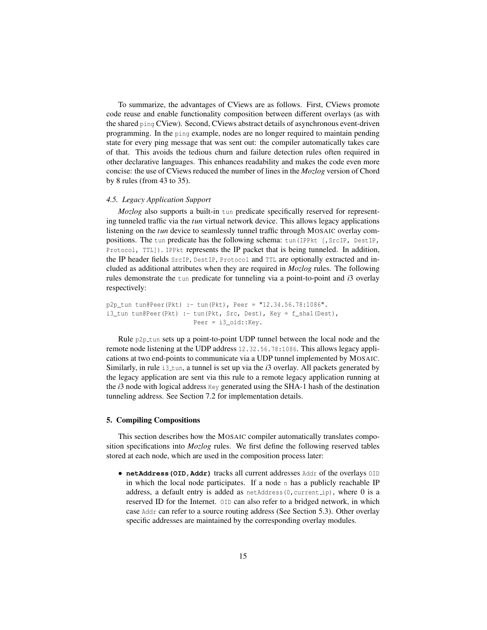To summarize, the advantages of CViews are as follows. First, CViews promote code reuse and enable functionality composition between different overlays (as with the shared ping CView). Second, CViews abstract details of asynchronous event-driven programming. In the ping example, nodes are no longer required to maintain pending state for every ping message that was sent out: the compiler automatically takes care of that. This avoids the tedious churn and failure detection rules often required in other declarative languages. This enhances readability and makes the code even more concise: the use of CViews reduced the number of lines in the *Mozlog* version of Chord by 8 rules (from 43 to 35).

### *4.5. Legacy Application Support*

*Mozlog* also supports a built-in tun predicate specifically reserved for representing tunneled traffic via the *tun* virtual network device. This allows legacy applications listening on the *tun* device to seamlessly tunnel traffic through MOSAIC overlay compositions. The tun predicate has the following schema: tun (IPPkt [, SrcIP, DestIP, Protocol, TTL]). IPPkt represents the IP packet that is being tunneled. In addition, the IP header fields SrcIP, DestIP, Protocol and TTL are optionally extracted and included as additional attributes when they are required in *Mozlog* rules. The following rules demonstrate the tun predicate for tunneling via a point-to-point and *i*3 overlay respectively:

```
p2p_tun tun@Peer(Pkt) :- tun(Pkt), Peer = "12.34.56.78:1086".
i3_tun tun@Peer(Pkt) :- tun(Pkt, Src, Dest), Key = f_sha1(Dest),
                        Peer = i3_oid::Key.
```
Rule p2p tun sets up a point-to-point UDP tunnel between the local node and the remote node listening at the UDP address 12.32.56.78:1086. This allows legacy applications at two end-points to communicate via a UDP tunnel implemented by MOSAIC. Similarly, in rule i3\_tun, a tunnel is set up via the *i*3 overlay. All packets generated by the legacy application are sent via this rule to a remote legacy application running at the *i*3 node with logical address Key generated using the SHA-1 hash of the destination tunneling address. See Section 7.2 for implementation details.

# 5. Compiling Compositions

This section describes how the MOSAIC compiler automatically translates composition specifications into *Mozlog* rules. We first define the following reserved tables stored at each node, which are used in the composition process later:

• **netAddress(OID,Addr)** tracks all current addresses Addr of the overlays OID in which the local node participates. If a node n has a publicly reachable IP address, a default entry is added as  $netAddress(0, current_ip)$ , where 0 is a reserved ID for the Internet. OID can also refer to a bridged network, in which case Addr can refer to a source routing address (See Section 5.3). Other overlay specific addresses are maintained by the corresponding overlay modules.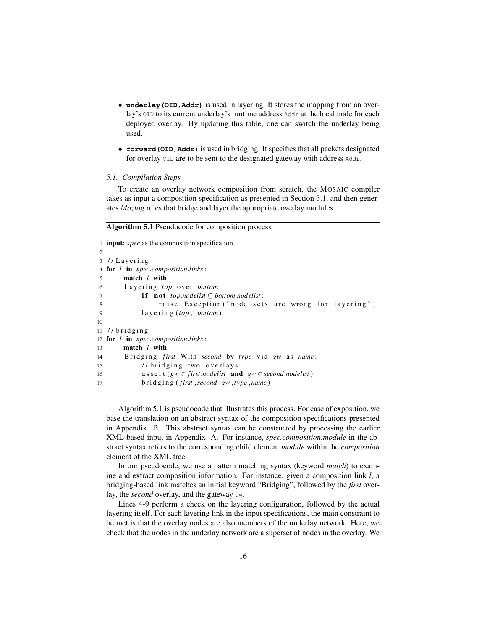- **underlay(OID,Addr)** is used in layering. It stores the mapping from an overlay's OID to its current underlay's runtime address Addr at the local node for each deployed overlay. By updating this table, one can switch the underlay being used.
- **forward(OID,Addr)** is used in bridging. It specifies that all packets designated for overlay OID are to be sent to the designated gateway with address Addr.

#### *5.1. Compilation Steps*

To create an overlay network composition from scratch, the MOSAIC compiler takes as input a composition specification as presented in Section 3.1, and then generates *Mozlog* rules that bridge and layer the appropriate overlay modules.

Algorithm 5.1 Pseudocode for composition process

```
1 input: spec as the composition specification
\mathfrak{D}3 // Layering
4 for l in spec.composition.links:
5 match l with
6 Layering top over bottom:
7 i f n o t top.nodelist ⊆ bottom.nodelist :
8 raise Exception ("node sets are wrong for layering")
9 l a y e r i n g (top , bottom)
10
11 // bridging
12 for l in spec.composition.links:
13 match l with
14 Bridging first With second by type via gw as name:
15 // bridging two overlays
16 a s s e r t (gw \in first nodelist and gw \in second nodelist)
17 b r i d g i n g ( first ,second ,gw ,type ,name )
```
Algorithm 5.1 is pseudocode that illustrates this process. For ease of exposition, we base the translation on an abstract syntax of the composition specifications presented in Appendix B. This abstract syntax can be constructed by processing the earlier XML-based input in Appendix A. For instance, *spec.composition.module* in the abstract syntax refers to the corresponding child element *module* within the *composition* element of the XML tree.

In our pseudocode, we use a pattern matching syntax (keyword *match*) to examine and extract composition information. For instance, given a composition link *l*, a bridging-based link matches an initial keyword "Bridging", followed by the *first* overlay, the *second* overlay, and the gateway gw.

Lines 4-9 perform a check on the layering configuration, followed by the actual layering itself. For each layering link in the input specifications, the main constraint to be met is that the overlay nodes are also members of the underlay network. Here, we check that the nodes in the underlay network are a superset of nodes in the overlay. We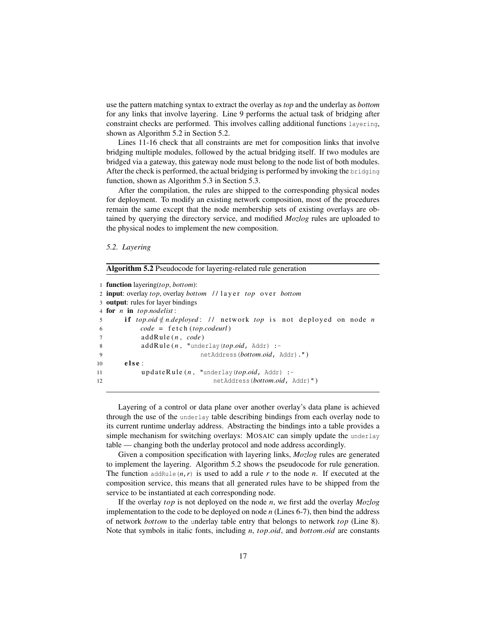use the pattern matching syntax to extract the overlay as *top* and the underlay as *bottom* for any links that involve layering. Line 9 performs the actual task of bridging after constraint checks are performed. This involves calling additional functions layering, shown as Algorithm 5.2 in Section 5.2.

Lines 11-16 check that all constraints are met for composition links that involve bridging multiple modules, followed by the actual bridging itself. If two modules are bridged via a gateway, this gateway node must belong to the node list of both modules. After the check is performed, the actual bridging is performed by invoking the bridging function, shown as Algorithm 5.3 in Section 5.3.

After the compilation, the rules are shipped to the corresponding physical nodes for deployment. To modify an existing network composition, most of the procedures remain the same except that the node membership sets of existing overlays are obtained by querying the directory service, and modified *Mozlog* rules are uploaded to the physical nodes to implement the new composition.

*5.2. Layering*

|  |  |  | Algorithm 5.2 Pseudocode for layering-related rule generation |  |
|--|--|--|---------------------------------------------------------------|--|
|  |  |  |                                                               |  |

|                 | 1 <b>function</b> layering( <i>top</i> , <i>bottom</i> ):                                          |
|-----------------|----------------------------------------------------------------------------------------------------|
|                 | 2 <b>input</b> : overlay <i>top</i> , overlay <i>bottom</i> // layer <i>top</i> over <i>bottom</i> |
|                 | 3 <b>output:</b> rules for layer bindings                                                          |
|                 | 4 for $n$ in top.nodelist:                                                                         |
| 5               | <b>if</b> top.oid $\notin$ n.deployed: // network top is not deployed on node <i>n</i>             |
| 6               | $code = fetch(top.codeurl)$                                                                        |
| $7\overline{ }$ | addRule(n, code)                                                                                   |
| 8               | $addRule(n, "underlay(top.oid, Addr):-)$                                                           |
| -9              | netAddress( <i>bottom.oid,</i> Addr).")                                                            |
| 10              | else:                                                                                              |
| 11              | $updateRule(n, "underlay(top.oid, Addr):$                                                          |
| 12              | netAddress(bottom.oid, Addr)")                                                                     |
|                 |                                                                                                    |

Layering of a control or data plane over another overlay's data plane is achieved through the use of the underlay table describing bindings from each overlay node to its current runtime underlay address. Abstracting the bindings into a table provides a simple mechanism for switching overlays: MOSAIC can simply update the underlay table — changing both the underlay protocol and node address accordingly.

Given a composition specification with layering links, *Mozlog* rules are generated to implement the layering. Algorithm 5.2 shows the pseudocode for rule generation. The function addRule( $n, r$ ) is used to add a rule  $r$  to the node  $n$ . If executed at the composition service, this means that all generated rules have to be shipped from the service to be instantiated at each corresponding node.

If the overlay *top* is not deployed on the node *n*, we first add the overlay *Mozlog* implementation to the code to be deployed on node *n* (Lines 6-7), then bind the address of network *bottom* to the underlay table entry that belongs to network *top* (Line 8). Note that symbols in italic fonts, including *n*, *top*.*oid*, and *bottom*.*oid* are constants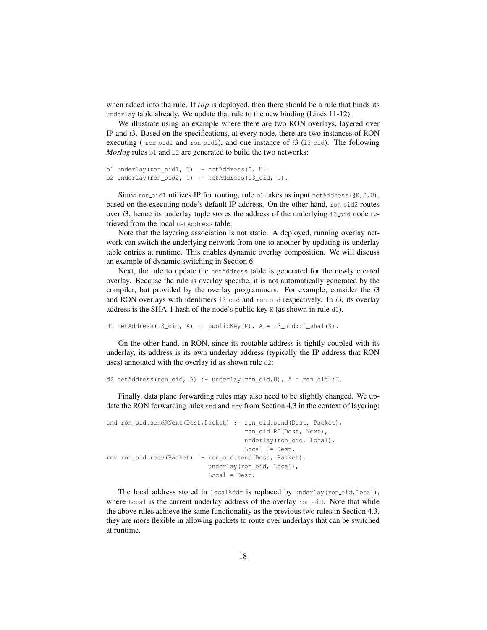when added into the rule. If *top* is deployed, then there should be a rule that binds its underlay table already. We update that rule to the new binding (Lines 11-12).

We illustrate using an example where there are two RON overlays, layered over IP and *i*3. Based on the specifications, at every node, there are two instances of RON executing ( ron<sub>-oid1</sub> and ron<sub>-oid2</sub>), and one instance of *i*3 (i3-oid). The following *Mozlog* rules b1 and b2 are generated to build the two networks:

```
b1 underlay(ron_oid1, U) :- netAddress(0, U).
b2 underlay(ron_oid2, U) :- netAddress(i3_oid, U).
```
Since ron oid1 utilizes IP for routing, rule b1 takes as input netAddress( $(\mathbb{N}, 0, \mathbb{U})$ , based on the executing node's default IP address. On the other hand, ron oid2 routes over *i*3, hence its underlay tuple stores the address of the underlying i3 oid node retrieved from the local netAddress table.

Note that the layering association is not static. A deployed, running overlay network can switch the underlying network from one to another by updating its underlay table entries at runtime. This enables dynamic overlay composition. We will discuss an example of dynamic switching in Section 6.

Next, the rule to update the netAddress table is generated for the newly created overlay. Because the rule is overlay specific, it is not automatically generated by the compiler, but provided by the overlay programmers. For example, consider the *i*3 and RON overlays with identifiers i3 oid and ron oid respectively. In *i*3, its overlay address is the SHA-1 hash of the node's public key K (as shown in rule d1).

d1 netAddress(i3\_oid, A) :- publicKey(K), A = i3\_oid::f\_sha1(K).

On the other hand, in RON, since its routable address is tightly coupled with its underlay, its address is its own underlay address (typically the IP address that RON uses) annotated with the overlay id as shown rule d2:

```
d2 netAddress(ron_oid, A) :- underlay(ron_oid,U), A = ron_oid::U.
```
Finally, data plane forwarding rules may also need to be slightly changed. We update the RON forwarding rules snd and rcv from Section 4.3 in the context of layering:

```
snd ron_oid.send@Next(Dest,Packet) :- ron_oid.send(Dest, Packet),
                                      ron_oid.RT(Dest, Next),
                                      underlay(ron_oid, Local),
                                      Local != Dest.
rcv ron_oid.recv(Packet) :- ron_oid.send(Dest, Packet),
                            underlay(ron_oid, Local),
                            Local = Dest.
```
The local address stored in localAddr is replaced by underlay(ron\_oid, Local), where Local is the current underlay address of the overlay ron oid. Note that while the above rules achieve the same functionality as the previous two rules in Section 4.3, they are more flexible in allowing packets to route over underlays that can be switched at runtime.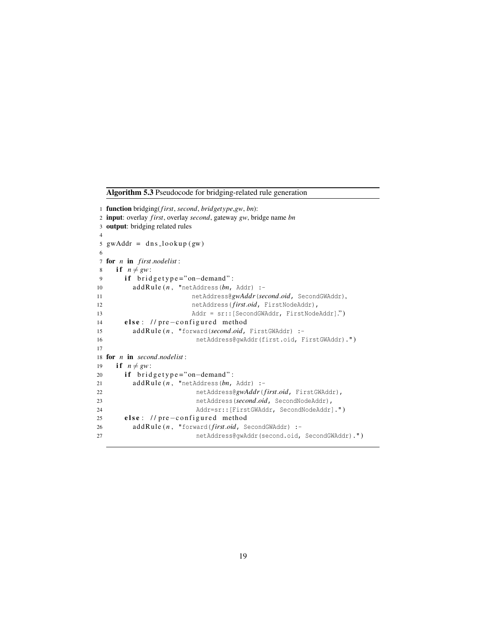# Algorithm 5.3 Pseudocode for bridging-related rule generation

```
1 function bridging(first, second, bridgetype,gw, bn):
2 input: overlay first, overlay second, gateway gw, bridge name bn
3 output: bridging related rules
4
5 \text{ gwAddr} = \text{d} \text{ns\_lookup} (\text{gw})6
7 for n in first.nodelist :
8 if n \neq gw:
9 if bridgetype="on-demand":
10 addRule (n, "netAddress(bn, Addr) :-
11 netAddress@gwAddr(second.oid, SecondGWAddr),
12 netAddress( first.oid, FirstNodeAddr),
13 Addr = sr:: [SecondGWAddr, FirstNodeAddr].")
14 else: // pre-configured method
15 addRule (n, "forward(<i>second.oid</i>, FirstGWAddr) :-16 netAddress@gwAddr(first.oid, FirstGWAddr).")
17
18 for n in second.nodelist :
19 if n \neq gw:
20 if bridgetype="on-demand":
21 addRule (n, "netAddress(bn, Addr) :-
22 netAddress@gwAddr( first.oid, FirstGWAddr),
23 netAddress(second.oid, SecondNodeAddr),
24 Addr=sr:: [FirstGWAddr, SecondNodeAddr].")
25 else : // pre−configured method
26 addRule (n, "forward(first.oid, SecondGWAddr) :-
27 netAddress@gwAddr(second.oid, SecondGWAddr).")
```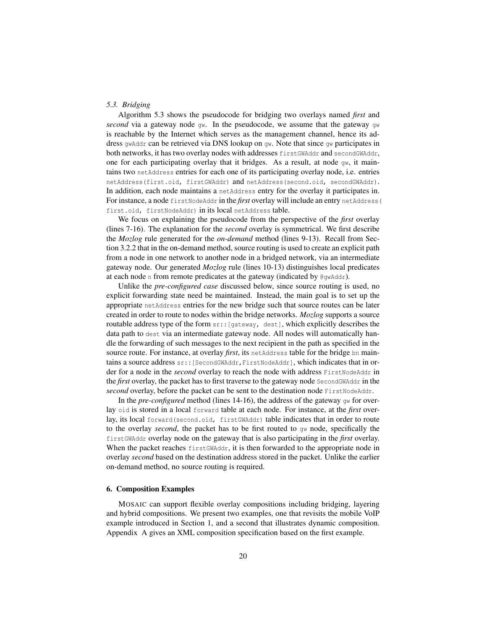# *5.3. Bridging*

Algorithm 5.3 shows the pseudocode for bridging two overlays named *first* and *second* via a gateway node  $\alpha$ . In the pseudocode, we assume that the gateway  $\alpha$ is reachable by the Internet which serves as the management channel, hence its address gwAddr can be retrieved via DNS lookup on gw. Note that since gw participates in both networks, it has two overlay nodes with addresses firstGWAddr and secondGWAddr, one for each participating overlay that it bridges. As a result, at node gw, it maintains two netAddress entries for each one of its participating overlay node, i.e. entries netAddress(first.oid, firstGWAddr) and netAddress(second.oid, secondGWAddr). In addition, each node maintains a netAddress entry for the overlay it participates in. For instance, a node firstNodeAddr in the *first* overlay will include an entry netAddress ( first.oid, firstNodeAddr) in its local netAddress table.

We focus on explaining the pseudocode from the perspective of the *first* overlay (lines 7-16). The explanation for the *second* overlay is symmetrical. We first describe the *Mozlog* rule generated for the *on-demand* method (lines 9-13). Recall from Section 3.2.2 that in the on-demand method, source routing is used to create an explicit path from a node in one network to another node in a bridged network, via an intermediate gateway node. Our generated *Mozlog* rule (lines 10-13) distinguishes local predicates at each node n from remote predicates at the gateway (indicated by  $\mathcal{C}_{qw\text{Addr}}$ ).

Unlike the *pre-configured case* discussed below, since source routing is used, no explicit forwarding state need be maintained. Instead, the main goal is to set up the appropriate netAddress entries for the new bridge such that source routes can be later created in order to route to nodes within the bridge networks. *Mozlog* supports a source routable address type of the form sr::[gateway, dest], which explicitly describes the data path to dest via an intermediate gateway node. All nodes will automatically handle the forwarding of such messages to the next recipient in the path as specified in the source route. For instance, at overlay *first*, its netAddress table for the bridge bn maintains a source address sr:: [SecondGWAddr, FirstNodeAddr], which indicates that in order for a node in the *second* overlay to reach the node with address FirstNodeAddr in the *first* overlay, the packet has to first traverse to the gateway node SecondGWAddr in the *second* overlay, before the packet can be sent to the destination node FirstNodeAddr.

In the *pre-configured* method (lines 14-16), the address of the gateway gw for overlay oid is stored in a local forward table at each node. For instance, at the *first* overlay, its local forward(second.oid, firstGWAddr) table indicates that in order to route to the overlay *second*, the packet has to be first routed to gw node, specifically the firstGWAddr overlay node on the gateway that is also participating in the *first* overlay. When the packet reaches firstGWAddr, it is then forwarded to the appropriate node in overlay *second* based on the destination address stored in the packet. Unlike the earlier on-demand method, no source routing is required.

# 6. Composition Examples

MOSAIC can support flexible overlay compositions including bridging, layering and hybrid compositions. We present two examples, one that revisits the mobile VoIP example introduced in Section 1, and a second that illustrates dynamic composition. Appendix A gives an XML composition specification based on the first example.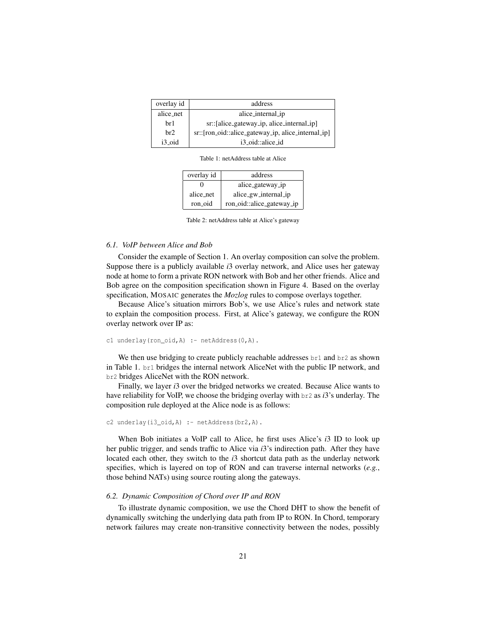| overlay id | address                                            |
|------------|----------------------------------------------------|
| alice_net  | alice_internal_ip                                  |
| hr1        | sr:: [alice_gateway_ip, alice_internal_ip]         |
| hr2        | sr::[ron_oid::alice_gateway_ip, alice_internal_ip] |
| i3 oid     | i3_oid::alice_id                                   |

Table 1: netAddress table at Alice

| overlay id | address                   |
|------------|---------------------------|
|            | alice_gateway_ip          |
| alice_net  | alice_gw_internal_ip      |
| ron_oid    | ron_oid::alice_gateway_ip |

Table 2: netAddress table at Alice's gateway

# *6.1. VoIP between Alice and Bob*

Consider the example of Section 1. An overlay composition can solve the problem. Suppose there is a publicly available *i*3 overlay network, and Alice uses her gateway node at home to form a private RON network with Bob and her other friends. Alice and Bob agree on the composition specification shown in Figure 4. Based on the overlay specification, MOSAIC generates the *Mozlog* rules to compose overlays together.

Because Alice's situation mirrors Bob's, we use Alice's rules and network state to explain the composition process. First, at Alice's gateway, we configure the RON overlay network over IP as:

```
c1 underlay(ron_oid, A) : - netAddress(0, A).
```
We then use bridging to create publicly reachable addresses  $b$ r1 and  $b$ r2 as shown in Table 1. br1 bridges the internal network AliceNet with the public IP network, and br2 bridges AliceNet with the RON network.

Finally, we layer *i*3 over the bridged networks we created. Because Alice wants to have reliability for VoIP, we choose the bridging overlay with br2 as *i*3's underlay. The composition rule deployed at the Alice node is as follows:

```
c2 underlay(i3_oid,A) :- netAddress(br2,A).
```
When Bob initiates a VoIP call to Alice, he first uses Alice's *i*3 ID to look up her public trigger, and sends traffic to Alice via *i*3's indirection path. After they have located each other, they switch to the *i*3 shortcut data path as the underlay network specifies, which is layered on top of RON and can traverse internal networks (*e.g.*, those behind NATs) using source routing along the gateways.

## *6.2. Dynamic Composition of Chord over IP and RON*

To illustrate dynamic composition, we use the Chord DHT to show the benefit of dynamically switching the underlying data path from IP to RON. In Chord, temporary network failures may create non-transitive connectivity between the nodes, possibly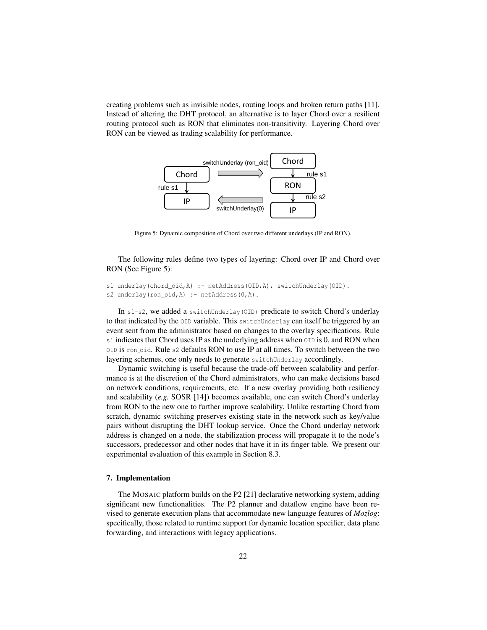creating problems such as invisible nodes, routing loops and broken return paths [11]. Instead of altering the DHT protocol, an alternative is to layer Chord over a resilient routing protocol such as RON that eliminates non-transitivity. Layering Chord over RON can be viewed as trading scalability for performance.



Figure 5: Dynamic composition of Chord over two different underlays (IP and RON).

The following rules define two types of layering: Chord over IP and Chord over RON (See Figure 5):

```
s1 underlay(chord_oid,A) :- netAddress(OID,A), switchUnderlay(OID).
s2 underlay(ron_oid,A) :- netAddress(0,A).
```
In  $s1-s2$ , we added a switchUnderlay(OID) predicate to switch Chord's underlay to that indicated by the OID variable. This switchUnderlay can itself be triggered by an event sent from the administrator based on changes to the overlay specifications. Rule  $s1$  indicates that Chord uses IP as the underlying address when  $OID$  is 0, and RON when OID is ron oid. Rule s2 defaults RON to use IP at all times. To switch between the two layering schemes, one only needs to generate switchUnderlay accordingly.

Dynamic switching is useful because the trade-off between scalability and performance is at the discretion of the Chord administrators, who can make decisions based on network conditions, requirements, etc. If a new overlay providing both resiliency and scalability (*e.g.* SOSR [14]) becomes available, one can switch Chord's underlay from RON to the new one to further improve scalability. Unlike restarting Chord from scratch, dynamic switching preserves existing state in the network such as key/value pairs without disrupting the DHT lookup service. Once the Chord underlay network address is changed on a node, the stabilization process will propagate it to the node's successors, predecessor and other nodes that have it in its finger table. We present our experimental evaluation of this example in Section 8.3.

# 7. Implementation

The MOSAIC platform builds on the P2 [21] declarative networking system, adding significant new functionalities. The P2 planner and dataflow engine have been revised to generate execution plans that accommodate new language features of *Mozlog*: specifically, those related to runtime support for dynamic location specifier, data plane forwarding, and interactions with legacy applications.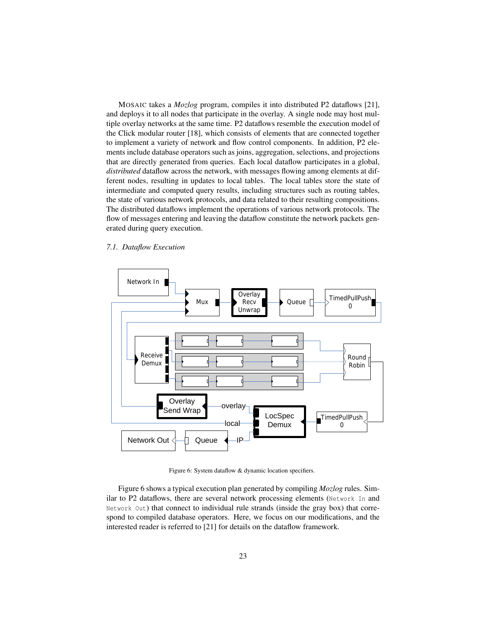MOSAIC takes a *Mozlog* program, compiles it into distributed P2 dataflows [21], and deploys it to all nodes that participate in the overlay. A single node may host multiple overlay networks at the same time. P2 dataflows resemble the execution model of the Click modular router [18], which consists of elements that are connected together to implement a variety of network and flow control components. In addition, P2 elements include database operators such as joins, aggregation, selections, and projections that are directly generated from queries. Each local dataflow participates in a global, *distributed* dataflow across the network, with messages flowing among elements at different nodes, resulting in updates to local tables. The local tables store the state of intermediate and computed query results, including structures such as routing tables, the state of various network protocols, and data related to their resulting compositions. The distributed dataflows implement the operations of various network protocols. The flow of messages entering and leaving the dataflow constitute the network packets generated during query execution.

#### *7.1. Dataflow Execution*



Figure 6: System dataflow & dynamic location specifiers.

Figure 6 shows a typical execution plan generated by compiling *Mozlog* rules. Similar to P2 dataflows, there are several network processing elements (Network In and Network Out) that connect to individual rule strands (inside the gray box) that correspond to compiled database operators. Here, we focus on our modifications, and the interested reader is referred to [21] for details on the dataflow framework.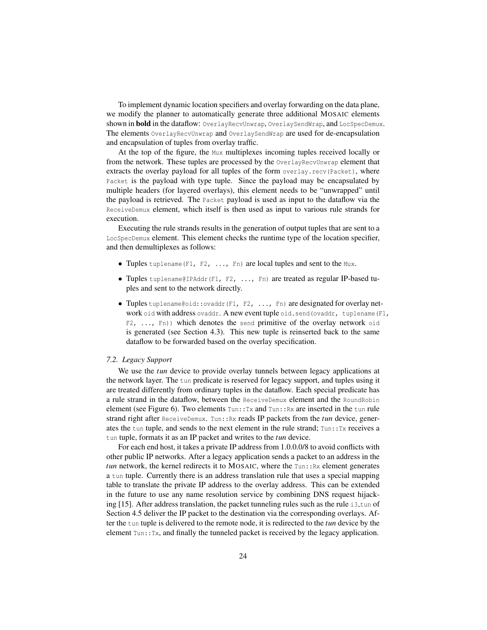To implement dynamic location specifiers and overlay forwarding on the data plane, we modify the planner to automatically generate three additional MOSAIC elements shown in bold in the dataflow: OverlayRecvUnwrap, OverlaySendWrap, and LocSpecDemux. The elements OverlayRecvUnwrap and OverlaySendWrap are used for de-encapsulation and encapsulation of tuples from overlay traffic.

At the top of the figure, the Mux multiplexes incoming tuples received locally or from the network. These tuples are processed by the OverlayRecvUnwrap element that extracts the overlay payload for all tuples of the form overlay.recv(Packet), where Packet is the payload with type tuple. Since the payload may be encapsulated by multiple headers (for layered overlays), this element needs to be "unwrapped" until the payload is retrieved. The Packet payload is used as input to the dataflow via the ReceiveDemux element, which itself is then used as input to various rule strands for execution.

Executing the rule strands results in the generation of output tuples that are sent to a LocSpecDemux element. This element checks the runtime type of the location specifier, and then demultiplexes as follows:

- Tuples tuplename (F1, F2,  $\dots$ , Fn) are local tuples and sent to the Mux.
- Tuples tuplename@IPAddr(F1, F2,  $\dots$ , Fn) are treated as regular IP-based tuples and sent to the network directly.
- Tuples tuplename@oid::ovaddr(F1, F2, ..., Fn) are designated for overlay network oid with address ovaddr. A new event tuple oid.send(ovaddr, tuplename(F1,  $F2, \ldots, Fn)$ ) which denotes the send primitive of the overlay network oid is generated (see Section 4.3). This new tuple is reinserted back to the same dataflow to be forwarded based on the overlay specification.

# *7.2. Legacy Support*

We use the *tun* device to provide overlay tunnels between legacy applications at the network layer. The tun predicate is reserved for legacy support, and tuples using it are treated differently from ordinary tuples in the dataflow. Each special predicate has a rule strand in the dataflow, between the ReceiveDemux element and the RoundRobin element (see Figure 6). Two elements  $Tun:Tx$  and  $Tun::Rx$  are inserted in the tun rule strand right after ReceiveDemux. Tun::Rx reads IP packets from the *tun* device, generates the tun tuple, and sends to the next element in the rule strand;  $Tun::Tx$  receives a tun tuple, formats it as an IP packet and writes to the *tun* device.

For each end host, it takes a private IP address from 1.0.0.0/8 to avoid conflicts with other public IP networks. After a legacy application sends a packet to an address in the *tun* network, the kernel redirects it to MOSAIC, where the Tun: :Rx element generates a tun tuple. Currently there is an address translation rule that uses a special mapping table to translate the private IP address to the overlay address. This can be extended in the future to use any name resolution service by combining DNS request hijacking [15]. After address translation, the packet tunneling rules such as the rule i3 tun of Section 4.5 deliver the IP packet to the destination via the corresponding overlays. After the tun tuple is delivered to the remote node, it is redirected to the *tun* device by the element Tun::Tx, and finally the tunneled packet is received by the legacy application.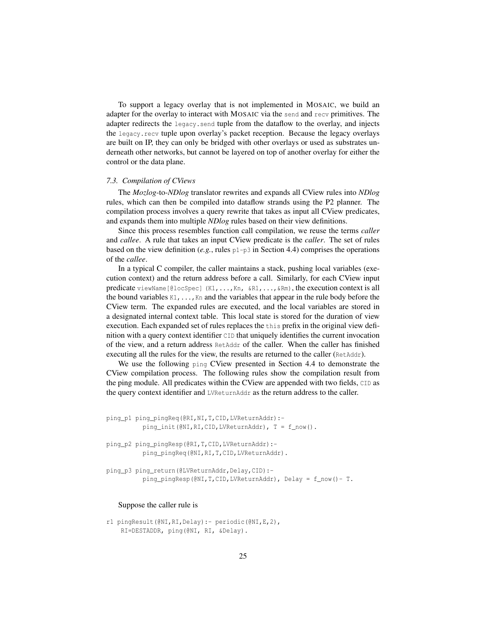To support a legacy overlay that is not implemented in MOSAIC, we build an adapter for the overlay to interact with MOSAIC via the send and recv primitives. The adapter redirects the legacy.send tuple from the dataflow to the overlay, and injects the legacy.recv tuple upon overlay's packet reception. Because the legacy overlays are built on IP, they can only be bridged with other overlays or used as substrates underneath other networks, but cannot be layered on top of another overlay for either the control or the data plane.

# *7.3. Compilation of CViews*

The *Mozlog*-to-*NDlog* translator rewrites and expands all CView rules into *NDlog* rules, which can then be compiled into dataflow strands using the P2 planner. The compilation process involves a query rewrite that takes as input all CView predicates, and expands them into multiple *NDlog* rules based on their view definitions.

Since this process resembles function call compilation, we reuse the terms *caller* and *callee*. A rule that takes an input CView predicate is the *caller*. The set of rules based on the view definition (*e.g.*, rules p1-p3 in Section 4.4) comprises the operations of the *callee*.

In a typical C compiler, the caller maintains a stack, pushing local variables (execution context) and the return address before a call. Similarly, for each CView input predicate viewName[@locSpec] (K1, ..., Kn, &R1, ..., &Rm), the execution context is all the bound variables  $K1, \ldots, Kn$  and the variables that appear in the rule body before the CView term. The expanded rules are executed, and the local variables are stored in a designated internal context table. This local state is stored for the duration of view execution. Each expanded set of rules replaces the this prefix in the original view definition with a query context identifier CID that uniquely identifies the current invocation of the view, and a return address RetAddr of the caller. When the caller has finished executing all the rules for the view, the results are returned to the caller (RetAddr).

We use the following ping CView presented in Section 4.4 to demonstrate the CView compilation process. The following rules show the compilation result from the ping module. All predicates within the CView are appended with two fields, CID as the query context identifier and LVReturnAddr as the return address to the caller.

```
ping p1 ping pingReq(@RI,NI,T,CID,LVReturnAddr):-
         ping_init(@NI,RI,CID,LVReturnAddr), T = f_now().
ping_p2 ping_pingResp(@RI,T,CID,LVReturnAddr):-
         ping_pingReq(@NI,RI,T,CID,LVReturnAddr).
ping_p3 ping_return(@LVReturnAddr,Delay,CID):-
         ping_pingResp(@NI,T,CID,LVReturnAddr), Delay = f_now()- T.
```
#### Suppose the caller rule is

```
r1 pingResult(@NI,RI,Delay):- periodic(@NI,E,2),
   RI=DESTADDR, ping(@NI, RI, &Delay).
```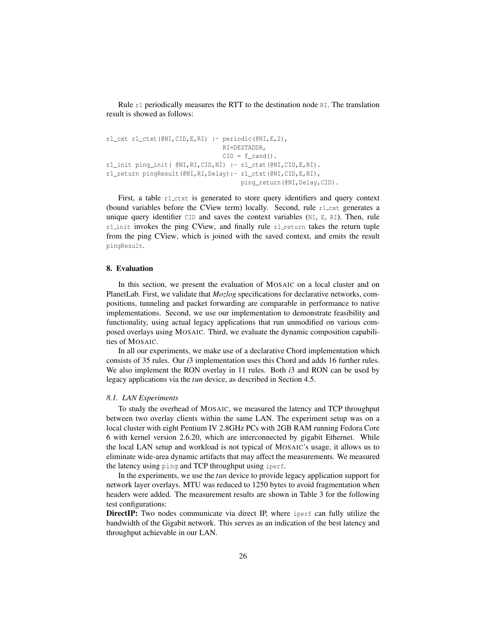Rule  $r_1$  periodically measures the RTT to the destination node RI. The translation result is showed as follows:

```
r1_cxt r1_ctxt(@NI,CID,E,RI) :- periodic(@NI,E,2),
                                RI=DESTADDR,
                                CID = f\_rand().
r1_init ping_init( @NI,RI,CID,NI) :- r1_ctxt(@NI,CID,E,RI).
r1_return pingResult(@NI,RI,Delay):- r1_ctxt(@NI,CID,E,RI),
                                     ping_return(@NI,Delay,CID).
```
First, a table r1\_ctxt is generated to store query identifiers and query context (bound variables before the CView term) locally. Second, rule  $r1$ -cxt generates a unique query identifier CID and saves the context variables (NI, E, RI). Then, rule r1 init invokes the ping CView, and finally rule  $r1$  return takes the return tuple from the ping CView, which is joined with the saved context, and emits the result pingResult.

### 8. Evaluation

In this section, we present the evaluation of MOSAIC on a local cluster and on PlanetLab. First, we validate that *Mozlog* specifications for declarative networks, compositions, tunneling and packet forwarding are comparable in performance to native implementations. Second, we use our implementation to demonstrate feasibility and functionality, using actual legacy applications that run unmodified on various composed overlays using MOSAIC. Third, we evaluate the dynamic composition capabilities of MOSAIC.

In all our experiments, we make use of a declarative Chord implementation which consists of 35 rules. Our *i*3 implementation uses this Chord and adds 16 further rules. We also implement the RON overlay in 11 rules. Both *i*3 and RON can be used by legacy applications via the *tun* device, as described in Section 4.5.

# *8.1. LAN Experiments*

To study the overhead of MOSAIC, we measured the latency and TCP throughput between two overlay clients within the same LAN. The experiment setup was on a local cluster with eight Pentium IV 2.8GHz PCs with 2GB RAM running Fedora Core 6 with kernel version 2.6.20, which are interconnected by gigabit Ethernet. While the local LAN setup and workload is not typical of MOSAIC's usage, it allows us to eliminate wide-area dynamic artifacts that may affect the measurements. We measured the latency using ping and TCP throughput using iperf.

In the experiments, we use the *tun* device to provide legacy application support for network layer overlays. MTU was reduced to 1250 bytes to avoid fragmentation when headers were added. The measurement results are shown in Table 3 for the following test configurations:

DirectIP: Two nodes communicate via direct IP, where iperf can fully utilize the bandwidth of the Gigabit network. This serves as an indication of the best latency and throughput achievable in our LAN.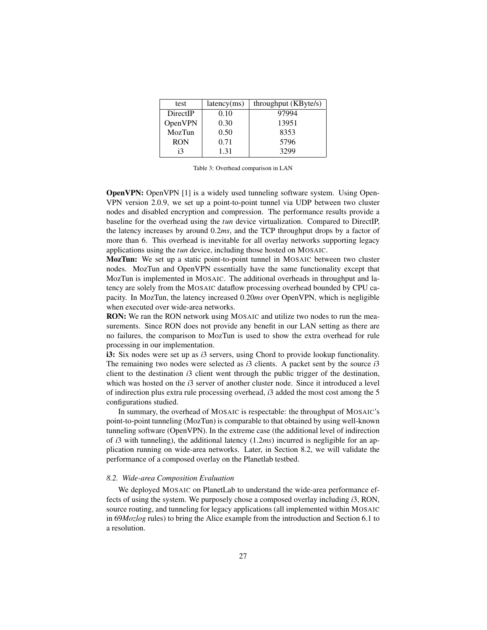| test       | latency(ms) | throughput (KByte/s) |
|------------|-------------|----------------------|
| DirectIP   | 0.10        | 97994                |
| OpenVPN    | 0.30        | 13951                |
| MozTun     | 0.50        | 8353                 |
| <b>RON</b> | 0.71        | 5796                 |
| i3         | 1.31        | 3299                 |

Table 3: Overhead comparison in LAN

**OpenVPN:** OpenVPN [1] is a widely used tunneling software system. Using Open-VPN version 2.0.9, we set up a point-to-point tunnel via UDP between two cluster nodes and disabled encryption and compression. The performance results provide a baseline for the overhead using the *tun* device virtualization. Compared to DirectIP, the latency increases by around 0.2*ms*, and the TCP throughput drops by a factor of more than 6. This overhead is inevitable for all overlay networks supporting legacy applications using the *tun* device, including those hosted on MOSAIC.

MozTun: We set up a static point-to-point tunnel in MOSAIC between two cluster nodes. MozTun and OpenVPN essentially have the same functionality except that MozTun is implemented in MOSAIC. The additional overheads in throughput and latency are solely from the MOSAIC dataflow processing overhead bounded by CPU capacity. In MozTun, the latency increased 0.20*ms* over OpenVPN, which is negligible when executed over wide-area networks.

RON: We ran the RON network using MOSAIC and utilize two nodes to run the measurements. Since RON does not provide any benefit in our LAN setting as there are no failures, the comparison to MozTun is used to show the extra overhead for rule processing in our implementation.

i3: Six nodes were set up as *i*3 servers, using Chord to provide lookup functionality. The remaining two nodes were selected as *i*3 clients. A packet sent by the source *i*3 client to the destination *i*3 client went through the public trigger of the destination, which was hosted on the *i*3 server of another cluster node. Since it introduced a level of indirection plus extra rule processing overhead, *i*3 added the most cost among the 5 configurations studied.

In summary, the overhead of MOSAIC is respectable: the throughput of MOSAIC's point-to-point tunneling (MozTun) is comparable to that obtained by using well-known tunneling software (OpenVPN). In the extreme case (the additional level of indirection of *i*3 with tunneling), the additional latency (1.2*ms*) incurred is negligible for an application running on wide-area networks. Later, in Section 8.2, we will validate the performance of a composed overlay on the Planetlab testbed.

#### *8.2. Wide-area Composition Evaluation*

We deployed MOSAIC on PlanetLab to understand the wide-area performance effects of using the system. We purposely chose a composed overlay including *i*3, RON, source routing, and tunneling for legacy applications (all implemented within MOSAIC in 69*Mozlog* rules) to bring the Alice example from the introduction and Section 6.1 to a resolution.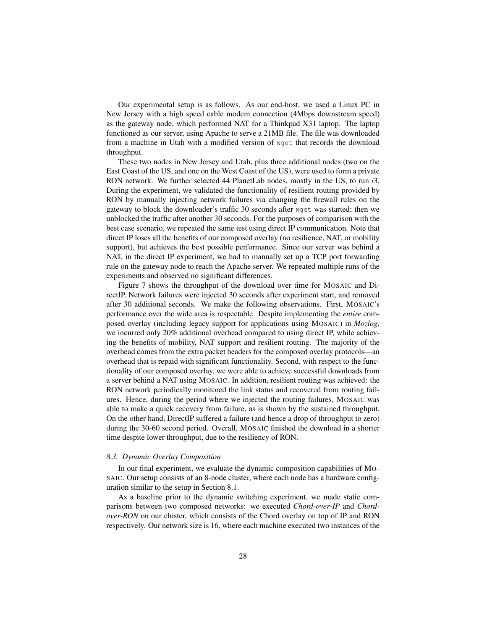Our experimental setup is as follows. As our end-host, we used a Linux PC in New Jersey with a high speed cable modem connection (4Mbps downstream speed) as the gateway node, which performed NAT for a Thinkpad X31 laptop. The laptop functioned as our server, using Apache to serve a 21MB file. The file was downloaded from a machine in Utah with a modified version of wget that records the download throughput.

These two nodes in New Jersey and Utah, plus three additional nodes (two on the East Coast of the US, and one on the West Coast of the US), were used to form a private RON network. We further selected 44 PlanetLab nodes, mostly in the US, to run *i*3. During the experiment, we validated the functionality of resilient routing provided by RON by manually injecting network failures via changing the firewall rules on the gateway to block the downloader's traffic 30 seconds after wget was started; then we unblocked the traffic after another 30 seconds. For the purposes of comparison with the best case scenario, we repeated the same test using direct IP communication. Note that direct IP loses all the benefits of our composed overlay (no resilience, NAT, or mobility support), but achieves the best possible performance. Since our server was behind a NAT, in the direct IP experiment, we had to manually set up a TCP port forwarding rule on the gateway node to reach the Apache server. We repeated multiple runs of the experiments and observed no significant differences.

Figure 7 shows the throughput of the download over time for MOSAIC and DirectIP. Network failures were injected 30 seconds after experiment start, and removed after 30 additional seconds. We make the following observations. First, MOSAIC's performance over the wide area is respectable. Despite implementing the *entire* composed overlay (including legacy support for applications using MOSAIC) in *Mozlog*, we incurred only 20% additional overhead compared to using direct IP, while achieving the benefits of mobility, NAT support and resilient routing. The majority of the overhead comes from the extra packet headers for the composed overlay protocols—an overhead that is repaid with significant functionality. Second, with respect to the functionality of our composed overlay, we were able to achieve successful downloads from a server behind a NAT using MOSAIC. In addition, resilient routing was achieved: the RON network periodically monitored the link status and recovered from routing failures. Hence, during the period where we injected the routing failures, MOSAIC was able to make a quick recovery from failure, as is shown by the sustained throughput. On the other hand, DirectIP suffered a failure (and hence a drop of throughput to zero) during the 30-60 second period. Overall, MOSAIC finished the download in a shorter time despite lower throughput, due to the resiliency of RON.

# *8.3. Dynamic Overlay Composition*

In our final experiment, we evaluate the dynamic composition capabilities of MO-SAIC. Our setup consists of an 8-node cluster, where each node has a hardware configuration similar to the setup in Section 8.1.

As a baseline prior to the dynamic switching experiment, we made static comparisons between two composed networks: we executed *Chord-over-IP* and *Chordover-RON* on our cluster, which consists of the Chord overlay on top of IP and RON respectively. Our network size is 16, where each machine executed two instances of the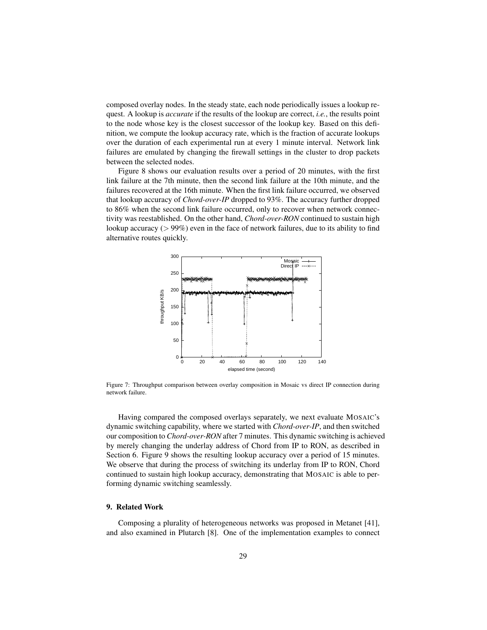composed overlay nodes. In the steady state, each node periodically issues a lookup request. A lookup is *accurate* if the results of the lookup are correct, *i.e.*, the results point to the node whose key is the closest successor of the lookup key. Based on this definition, we compute the lookup accuracy rate, which is the fraction of accurate lookups over the duration of each experimental run at every 1 minute interval. Network link failures are emulated by changing the firewall settings in the cluster to drop packets between the selected nodes.

Figure 8 shows our evaluation results over a period of 20 minutes, with the first link failure at the 7th minute, then the second link failure at the 10th minute, and the failures recovered at the 16th minute. When the first link failure occurred, we observed that lookup accuracy of *Chord-over-IP* dropped to 93%. The accuracy further dropped to 86% when the second link failure occurred, only to recover when network connectivity was reestablished. On the other hand, *Chord-over-RON* continued to sustain high lookup accuracy ( $> 99\%$ ) even in the face of network failures, due to its ability to find alternative routes quickly.



Figure 7: Throughput comparison between overlay composition in Mosaic vs direct IP connection during network failure.

Having compared the composed overlays separately, we next evaluate MOSAIC's dynamic switching capability, where we started with *Chord-over-IP*, and then switched our composition to *Chord-over-RON* after 7 minutes. This dynamic switching is achieved by merely changing the underlay address of Chord from IP to RON, as described in Section 6. Figure 9 shows the resulting lookup accuracy over a period of 15 minutes. We observe that during the process of switching its underlay from IP to RON, Chord continued to sustain high lookup accuracy, demonstrating that MOSAIC is able to performing dynamic switching seamlessly.

# 9. Related Work

Composing a plurality of heterogeneous networks was proposed in Metanet [41], and also examined in Plutarch [8]. One of the implementation examples to connect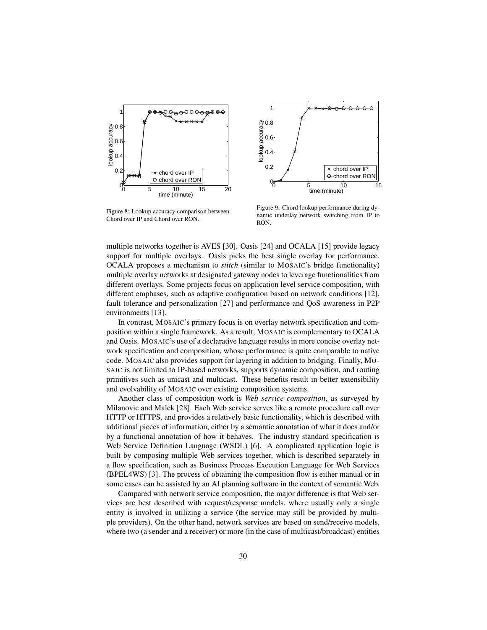

Figure 8: Lookup accuracy comparison between Chord over IP and Chord over RON.



Figure 9: Chord lookup performance during dynamic underlay network switching from IP to RON.

multiple networks together is AVES [30]. Oasis [24] and OCALA [15] provide legacy support for multiple overlays. Oasis picks the best single overlay for performance. OCALA proposes a mechanism to *stitch* (similar to MOSAIC's bridge functionality) multiple overlay networks at designated gateway nodes to leverage functionalities from different overlays. Some projects focus on application level service composition, with different emphases, such as adaptive configuration based on network conditions [12], fault tolerance and personalization [27] and performance and QoS awareness in P2P environments [13].

In contrast, MOSAIC's primary focus is on overlay network specification and composition within a single framework. As a result, MOSAIC is complementary to OCALA and Oasis. MOSAIC's use of a declarative language results in more concise overlay network specification and composition, whose performance is quite comparable to native code. MOSAIC also provides support for layering in addition to bridging. Finally, MO-SAIC is not limited to IP-based networks, supports dynamic composition, and routing primitives such as unicast and multicast. These benefits result in better extensibility and evolvability of MOSAIC over existing composition systems.

Another class of composition work is *Web service composition*, as surveyed by Milanovic and Malek [28]. Each Web service serves like a remote procedure call over HTTP or HTTPS, and provides a relatively basic functionality, which is described with additional pieces of information, either by a semantic annotation of what it does and/or by a functional annotation of how it behaves. The industry standard specification is Web Service Definition Language (WSDL) [6]. A complicated application logic is built by composing multiple Web services together, which is described separately in a flow specification, such as Business Process Execution Language for Web Services (BPEL4WS) [3]. The process of obtaining the composition flow is either manual or in some cases can be assisted by an AI planning software in the context of semantic Web.

Compared with network service composition, the major difference is that Web services are best described with request/response models, where usually only a single entity is involved in utilizing a service (the service may still be provided by multiple providers). On the other hand, network services are based on send/receive models, where two (a sender and a receiver) or more (in the case of multicast/broadcast) entities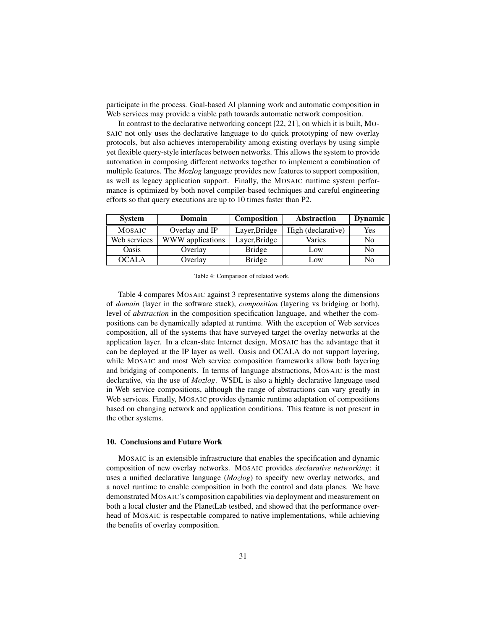participate in the process. Goal-based AI planning work and automatic composition in Web services may provide a viable path towards automatic network composition.

In contrast to the declarative networking concept [22, 21], on which it is built, MO-SAIC not only uses the declarative language to do quick prototyping of new overlay protocols, but also achieves interoperability among existing overlays by using simple yet flexible query-style interfaces between networks. This allows the system to provide automation in composing different networks together to implement a combination of multiple features. The *Mozlog* language provides new features to support composition, as well as legacy application support. Finally, the MOSAIC runtime system performance is optimized by both novel compiler-based techniques and careful engineering efforts so that query executions are up to 10 times faster than P2.

| <b>System</b> | Domain           | Composition   | <b>Abstraction</b> | <b>Dynamic</b> |
|---------------|------------------|---------------|--------------------|----------------|
| <b>MOSAIC</b> | Overlay and IP   | Layer, Bridge | High (declarative) | Yes            |
| Web services  | WWW applications | Layer, Bridge | Varies             | No             |
| Oasis         | Overlay          | <b>Bridge</b> | Low                | No             |
| OCAL A        | Overlay          | <b>Bridge</b> | Low                | No             |

Table 4: Comparison of related work.

Table 4 compares MOSAIC against 3 representative systems along the dimensions of *domain* (layer in the software stack), *composition* (layering vs bridging or both), level of *abstraction* in the composition specification language, and whether the compositions can be dynamically adapted at runtime. With the exception of Web services composition, all of the systems that have surveyed target the overlay networks at the application layer. In a clean-slate Internet design, MOSAIC has the advantage that it can be deployed at the IP layer as well. Oasis and OCALA do not support layering, while MOSAIC and most Web service composition frameworks allow both layering and bridging of components. In terms of language abstractions, MOSAIC is the most declarative, via the use of *Mozlog*. WSDL is also a highly declarative language used in Web service compositions, although the range of abstractions can vary greatly in Web services. Finally, MOSAIC provides dynamic runtime adaptation of compositions based on changing network and application conditions. This feature is not present in the other systems.

# 10. Conclusions and Future Work

MOSAIC is an extensible infrastructure that enables the specification and dynamic composition of new overlay networks. MOSAIC provides *declarative networking*: it uses a unified declarative language (*Mozlog*) to specify new overlay networks, and a novel runtime to enable composition in both the control and data planes. We have demonstrated MOSAIC's composition capabilities via deployment and measurement on both a local cluster and the PlanetLab testbed, and showed that the performance overhead of MOSAIC is respectable compared to native implementations, while achieving the benefits of overlay composition.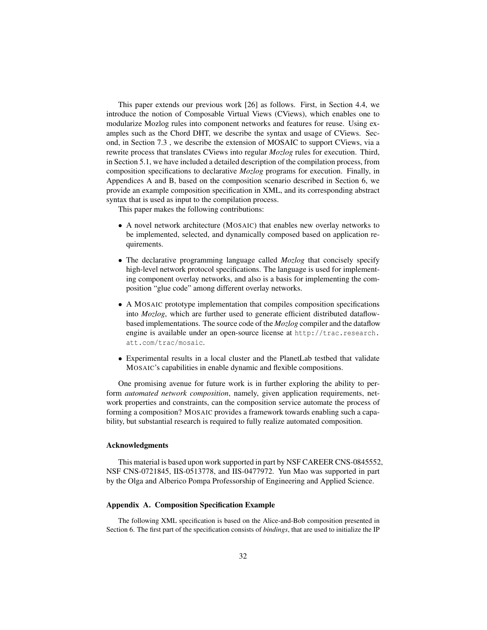This paper extends our previous work [26] as follows. First, in Section 4.4, we introduce the notion of Composable Virtual Views (CViews), which enables one to modularize Mozlog rules into component networks and features for reuse. Using examples such as the Chord DHT, we describe the syntax and usage of CViews. Second, in Section 7.3 , we describe the extension of MOSAIC to support CViews, via a rewrite process that translates CViews into regular *Mozlog* rules for execution. Third, in Section 5.1, we have included a detailed description of the compilation process, from composition specifications to declarative *Mozlog* programs for execution. Finally, in Appendices A and B, based on the composition scenario described in Section 6, we provide an example composition specification in XML, and its corresponding abstract syntax that is used as input to the compilation process.

This paper makes the following contributions:

- A novel network architecture (MOSAIC) that enables new overlay networks to be implemented, selected, and dynamically composed based on application requirements.
- The declarative programming language called *Mozlog* that concisely specify high-level network protocol specifications. The language is used for implementing component overlay networks, and also is a basis for implementing the composition "glue code" among different overlay networks.
- A MOSAIC prototype implementation that compiles composition specifications into *Mozlog*, which are further used to generate efficient distributed dataflowbased implementations. The source code of the *Mozlog* compiler and the dataflow engine is available under an open-source license at http://trac.research. att.com/trac/mosaic.
- Experimental results in a local cluster and the PlanetLab testbed that validate MOSAIC's capabilities in enable dynamic and flexible compositions.

One promising avenue for future work is in further exploring the ability to perform *automated network composition*, namely, given application requirements, network properties and constraints, can the composition service automate the process of forming a composition? MOSAIC provides a framework towards enabling such a capability, but substantial research is required to fully realize automated composition.

# Acknowledgments

This material is based upon work supported in part by NSF CAREER CNS-0845552, NSF CNS-0721845, IIS-0513778, and IIS-0477972. Yun Mao was supported in part by the Olga and Alberico Pompa Professorship of Engineering and Applied Science.

# Appendix A. Composition Specification Example

The following XML specification is based on the Alice-and-Bob composition presented in Section 6. The first part of the specification consists of *bindings*, that are used to initialize the IP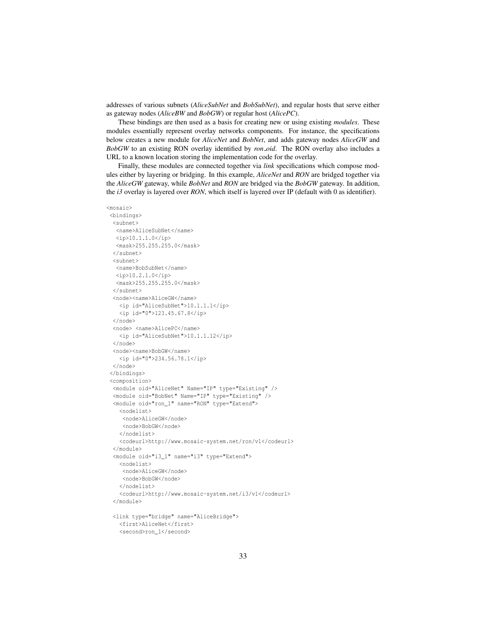addresses of various subnets (*AliceSubNet* and *BobSubNet*), and regular hosts that serve either as gateway nodes (*AliceBW* and *BobGW*) or regular host (*AlicePC*).

These bindings are then used as a basis for creating new or using existing *modules*. These modules essentially represent overlay networks components. For instance, the specifications below creates a new module for *AliceNet* and *BobNet*, and adds gateway nodes *AliceGW* and *BobGW* to an existing RON overlay identified by *ron oid*. The RON overlay also includes a URL to a known location storing the implementation code for the overlay.

Finally, these modules are connected together via *link* specifications which compose modules either by layering or bridging. In this example, *AliceNet* and *RON* are bridged together via the *AliceGW* gateway, while *BobNet* and *RON* are bridged via the *BobGW* gateway. In addition, the *i3* overlay is layered over *RON*, which itself is layered over IP (default with 0 as identifier).

```
<mosaic>
<bindings>
 <subnet>
  <name>AliceSubNet</name>

  <mask>255.255.255.0</mask>
 </subnet>
 <subnet>
  <name>BobSubNet</name>

  <mask>255.255.255.0</mask>
 </subnet>
 <node><name>AliceGW</name>
   <ip id="AliceSubNet">10.1.1.1</ip>
   <ip id="0">123.45.67.8</ip>
 </node>
 <node> <name>AlicePC</name>
   <ip id="AliceSubNet">10.1.1.12</ip>
 </node>
 <node><name>BobGW</name>
   <ip id="0">234.56.78.1</ip>
 </node>
</bindings>
<composition>
 <module oid="AliceNet" Name="IP" type="Existing" />
 <module oid="BobNet" Name="IP" type="Existing" />
 <module oid="ron_1" name="RON" type="Extend">
   <nodelist>
    <node>AliceGW</node>
    <node>BobGW</node>
   </nodelist>
   <codeurl>http://www.mosaic-system.net/ron/v1</codeurl>
 </module>
 <module oid="i3_1" name="i3" type="Extend">
   <nodelist>
    <node>AliceGW</node>
    <node>BobGW</node>
   </nodelist>
   <codeurl>http://www.mosaic-system.net/i3/v1</codeurl>
 </module>
 <link type="bridge" name="AliceBridge">
```

```
<first>AliceNet</first>
<second>ron_1</second>
```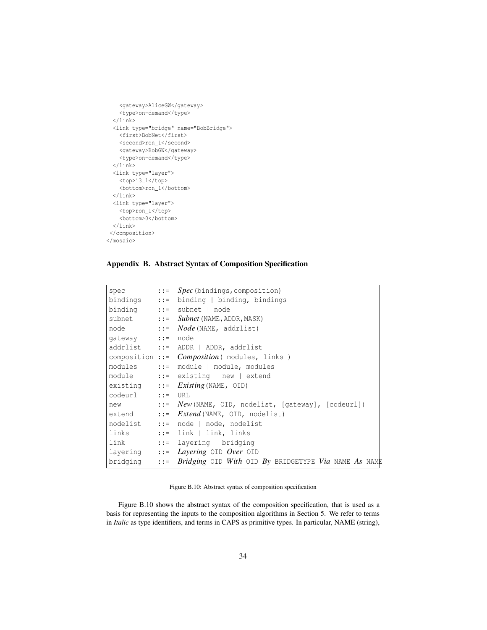```
<gateway>AliceGW</gateway>
    <type>on-demand</type>
 \langle/link>
 <link type="bridge" name="BobBridge">
    <first>BobNet</first>
    <second>ron_1</second>
    <gateway>BobGW</gateway>
    <type>on-demand</type>
 \langle /1\text{ink}\rangle<link type="layer">
    <top>i3_1</top>
    <br/>bottom>ron_1</bottom>
 \langlelink\rangle<link type="layer">
    <top>ron_1</top>
    <br />bottom>0</bottom>
 \langlelink\rangle</composition>
</mosaic>
```
Appendix B. Abstract Syntax of Composition Specification

| spec             | $::=Spec(binding, composition)$                                     |  |  |
|------------------|---------------------------------------------------------------------|--|--|
|                  | bindings ::= binding   binding, bindings                            |  |  |
|                  | binding ::= subnet   node                                           |  |  |
|                  | subnet ::= <i>Subnet</i> (NAME, ADDR, MASK)                         |  |  |
|                  | $node$ ::= $Node(NAME, addrlist)$                                   |  |  |
| qateway ::= node |                                                                     |  |  |
|                  | addrlist ::= ADDR   ADDR, addrlist                                  |  |  |
|                  | composition ::= <i>Composition</i> ( modules, links )               |  |  |
|                  | modules ::= module   module, modules                                |  |  |
|                  | module ::= existing   new   extend                                  |  |  |
|                  | existing $::= Existing(NAME, OID)$                                  |  |  |
| codeurl ::= URL  |                                                                     |  |  |
|                  | new ::= New(NAME, OID, nodelist, [qateway], [codeurl])              |  |  |
|                  | extend ::= <i>Extend</i> (NAME, OID, nodelist)                      |  |  |
|                  | nodelist ::= node   node, nodelist                                  |  |  |
|                  | $links$ ::= $link$   $link$ , links                                 |  |  |
| link             | $::=$ layering   bridging                                           |  |  |
|                  | layering $::=$ <i>Layering</i> OID Over OID                         |  |  |
|                  | bridging $::= Bridging$ OID With OID By BRIDGETYPE Via NAME As NAME |  |  |

Figure B.10: Abstract syntax of composition specification

Figure B.10 shows the abstract syntax of the composition specification, that is used as a basis for representing the inputs to the composition algorithms in Section 5. We refer to terms in *Italic* as type identifiers, and terms in CAPS as primitive types. In particular, NAME (string),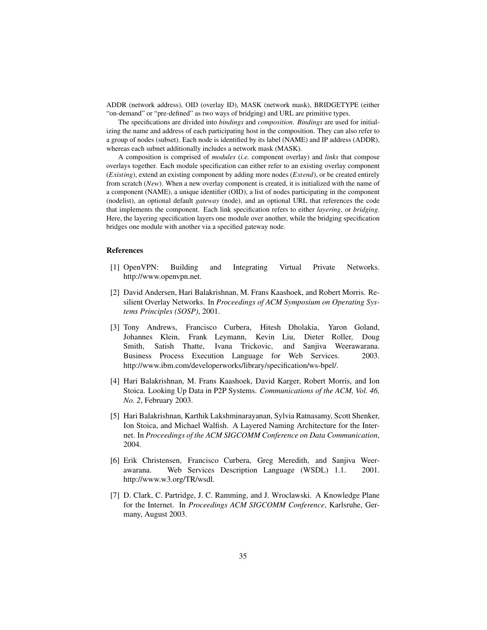ADDR (network address), OID (overlay ID), MASK (network mask), BRIDGETYPE (either "on-demand" or "pre-defined" as two ways of bridging) and URL are primitive types.

The specifications are divided into *bindings* and *composition*. *Bindings* are used for initializing the name and address of each participating host in the composition. They can also refer to a group of nodes (subset). Each node is identified by its label (NAME) and IP address (ADDR), whereas each subnet additionally includes a network mask (MASK).

A composition is comprised of *modules* (*i.e.* component overlay) and *links* that compose overlays together. Each module specification can either refer to an existing overlay component (*Existing*), extend an existing component by adding more nodes (*Extend*), or be created entirely from scratch (*New*). When a new overlay component is created, it is initialized with the name of a component (NAME), a unique identifier (OID), a list of nodes participating in the component (nodelist), an optional default *gateway* (node), and an optional URL that references the code that implements the component. Each link specification refers to either *layering*, or *bridging*. Here, the layering specification layers one module over another, while the bridging specification bridges one module with another via a specified gateway node.

# References

- [1] OpenVPN: Building and Integrating Virtual Private Networks. http://www.openvpn.net.
- [2] David Andersen, Hari Balakrishnan, M. Frans Kaashoek, and Robert Morris. Resilient Overlay Networks. In *Proceedings of ACM Symposium on Operating Systems Principles (SOSP)*, 2001.
- [3] Tony Andrews, Francisco Curbera, Hitesh Dholakia, Yaron Goland, Johannes Klein, Frank Leymann, Kevin Liu, Dieter Roller, Doug Smith, Satish Thatte, Ivana Trickovic, and Sanjiva Weerawarana. Business Process Execution Language for Web Services. 2003. http://www.ibm.com/developerworks/library/specification/ws-bpel/.
- [4] Hari Balakrishnan, M. Frans Kaashoek, David Karger, Robert Morris, and Ion Stoica. Looking Up Data in P2P Systems. *Communications of the ACM, Vol. 46, No. 2*, February 2003.
- [5] Hari Balakrishnan, Karthik Lakshminarayanan, Sylvia Ratnasamy, Scott Shenker, Ion Stoica, and Michael Walfish. A Layered Naming Architecture for the Internet. In *Proceedings of the ACM SIGCOMM Conference on Data Communication*, 2004.
- [6] Erik Christensen, Francisco Curbera, Greg Meredith, and Sanjiva Weerawarana. Web Services Description Language (WSDL) 1.1. 2001. http://www.w3.org/TR/wsdl.
- [7] D. Clark, C. Partridge, J. C. Ramming, and J. Wroclawski. A Knowledge Plane for the Internet. In *Proceedings ACM SIGCOMM Conference*, Karlsruhe, Germany, August 2003.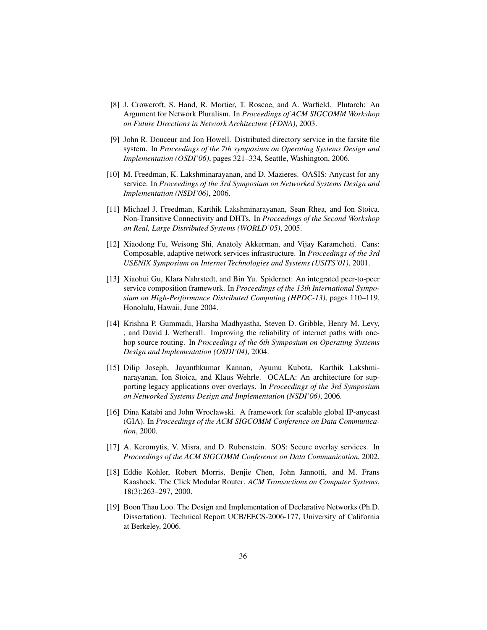- [8] J. Crowcroft, S. Hand, R. Mortier, T. Roscoe, and A. Warfield. Plutarch: An Argument for Network Pluralism. In *Proceedings of ACM SIGCOMM Workshop on Future Directions in Network Architecture (FDNA)*, 2003.
- [9] John R. Douceur and Jon Howell. Distributed directory service in the farsite file system. In *Proceedings of the 7th symposium on Operating Systems Design and Implementation (OSDI'06)*, pages 321–334, Seattle, Washington, 2006.
- [10] M. Freedman, K. Lakshminarayanan, and D. Mazieres. OASIS: Anycast for any service. In *Proceedings of the 3rd Symposium on Networked Systems Design and Implementation (NSDI'06)*, 2006.
- [11] Michael J. Freedman, Karthik Lakshminarayanan, Sean Rhea, and Ion Stoica. Non-Transitive Connectivity and DHTs. In *Proceedings of the Second Workshop on Real, Large Distributed Systems (WORLD'05)*, 2005.
- [12] Xiaodong Fu, Weisong Shi, Anatoly Akkerman, and Vijay Karamcheti. Cans: Composable, adaptive network services infrastructure. In *Proceedings of the 3rd USENIX Symposium on Internet Technologies and Systems (USITS'01)*, 2001.
- [13] Xiaohui Gu, Klara Nahrstedt, and Bin Yu. Spidernet: An integrated peer-to-peer service composition framework. In *Proceedings of the 13th International Symposium on High-Performance Distributed Computing (HPDC-13)*, pages 110–119, Honolulu, Hawaii, June 2004.
- [14] Krishna P. Gummadi, Harsha Madhyastha, Steven D. Gribble, Henry M. Levy, , and David J. Wetherall. Improving the reliability of internet paths with onehop source routing. In *Proceedings of the 6th Symposium on Operating Systems Design and Implementation (OSDI'04)*, 2004.
- [15] Dilip Joseph, Jayanthkumar Kannan, Ayumu Kubota, Karthik Lakshminarayanan, Ion Stoica, and Klaus Wehrle. OCALA: An architecture for supporting legacy applications over overlays. In *Proceedings of the 3rd Symposium on Networked Systems Design and Implementation (NSDI'06)*, 2006.
- [16] Dina Katabi and John Wroclawski. A framework for scalable global IP-anycast (GIA). In *Proceedings of the ACM SIGCOMM Conference on Data Communication*, 2000.
- [17] A. Keromytis, V. Misra, and D. Rubenstein. SOS: Secure overlay services. In *Proceedings of the ACM SIGCOMM Conference on Data Communication*, 2002.
- [18] Eddie Kohler, Robert Morris, Benjie Chen, John Jannotti, and M. Frans Kaashoek. The Click Modular Router. *ACM Transactions on Computer Systems*, 18(3):263–297, 2000.
- [19] Boon Thau Loo. The Design and Implementation of Declarative Networks (Ph.D. Dissertation). Technical Report UCB/EECS-2006-177, University of California at Berkeley, 2006.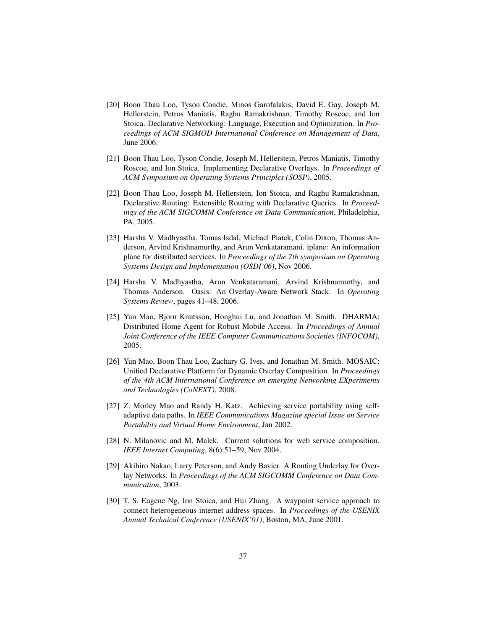- [20] Boon Thau Loo, Tyson Condie, Minos Garofalakis, David E. Gay, Joseph M. Hellerstein, Petros Maniatis, Raghu Ramakrishnan, Timothy Roscoe, and Ion Stoica. Declarative Networking: Language, Execution and Optimization. In *Proceedings of ACM SIGMOD International Conference on Management of Data*, June 2006.
- [21] Boon Thau Loo, Tyson Condie, Joseph M. Hellerstein, Petros Maniatis, Timothy Roscoe, and Ion Stoica. Implementing Declarative Overlays. In *Proceedings of ACM Symposium on Operating Systems Principles (SOSP)*, 2005.
- [22] Boon Thau Loo, Joseph M. Hellerstein, Ion Stoica, and Raghu Ramakrishnan. Declarative Routing: Extensible Routing with Declarative Queries. In *Proceedings of the ACM SIGCOMM Conference on Data Communication*, Philadelphia, PA, 2005.
- [23] Harsha V. Madhyastha, Tomas Isdal, Michael Piatek, Colin Dixon, Thomas Anderson, Arvind Krishnamurthy, and Arun Venkataramani. iplane: An information plane for distributed services. In *Proceedings of the 7th symposium on Operating Systems Design and Implementation (OSDI'06)*, Nov 2006.
- [24] Harsha V. Madhyastha, Arun Venkataramani, Arvind Krishnamurthy, and Thomas Anderson. Oasis: An Overlay-Aware Network Stack. In *Operating Systems Review*, pages 41–48, 2006.
- [25] Yun Mao, Bjorn Knutsson, Honghui Lu, and Jonathan M. Smith. DHARMA: Distributed Home Agent for Robust Mobile Access. In *Proceedings of Annual Joint Conference of the IEEE Computer Communications Societies (INFOCOM)*, 2005.
- [26] Yun Mao, Boon Thau Loo, Zachary G. Ives, and Jonathan M. Smith. MOSAIC: Unified Declarative Platform for Dynamic Overlay Composition. In *Proceedings of the 4th ACM International Conference on emerging Networking EXperiments and Technologies (CoNEXT)*, 2008.
- [27] Z. Morley Mao and Randy H. Katz. Achieving service portability using selfadaptive data paths. In *IEEE Communications Magazine special Issue on Service Portability and Virtual Home Environment*, Jan 2002.
- [28] N. Milanovic and M. Malek. Current solutions for web service composition. *IEEE Internet Computing*, 8(6):51–59, Nov 2004.
- [29] Akihiro Nakao, Larry Peterson, and Andy Bavier. A Routing Underlay for Overlay Networks. In *Proceedings of the ACM SIGCOMM Conference on Data Communication*, 2003.
- [30] T. S. Eugene Ng, Ion Stoica, and Hui Zhang. A waypoint service approach to connect heterogeneous internet address spaces. In *Proceedings of the USENIX Annual Technical Conference (USENIX'01)*, Boston, MA, June 2001.